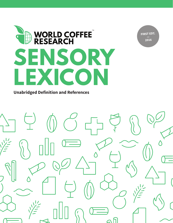

**FIRST EDT. — 2016**

**Unabridged Definition and References**

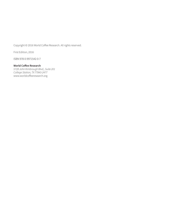Copyright © 2016 World Coffee Research. All rights reserved.

First Edition, 2016

ISBN 978-0-9971542-0-7

#### **World Coffee Research**

5728 John Kimbrough Blvd., Suite 201 College Station, TX 77843-2477 www.worldcoffeeresearch.org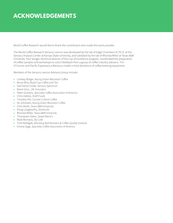# **ACKNOWLEDGEMENTS**

World Coffee Research would like to thank the contributors who made this work possible.

The World Coffee Research Sensory Lexicon was developed by the lab of Edgar Chambers IV, Ph.D. at the Sensory Analysis Center at Kansas State University, and validated by the lab of Rhonda Miller at Texas A&M University. Paul Songer, technical director of the Cup of Excellence program, coordinated the preparation of coffee samples and workshops to solicit feedback from a group of coffee industry advisors. Tim O'Connor and Pacific Espresso/La Marzocco made in-kind donations of coffee brewing equipment.

Members of the Sensory Lexicon Advisory Group include:

- Lindsey Bolger, Keurig Green Mountain Coffee
- Bruce Bria, Royal Cup Coffee and Tea
- Gail Vance Civille, Sensory Spectrum
- Brent Ginn, J.M. Smuckers
- Peter Giuliano, Specialty Coffee Association of America
- Chris Hallien, Kraft Foods
- Timothy Hill, Counter Culture Coffee
- Ali Johnston, Keurig Green Mountain Coffee
- Chris Kerth, Texas A&M University
- Doug Langworthy, Starbucks
- Rhonda Miller, Texas A&M University
- Thompsen Owen, Sweet Maria's
- Mark Romano, Illy Café
- Trish Rothgeb, Wrecking Ball Roasters & Coffee Quality Institute
- Emma Sage, Specialty Coffee Association of America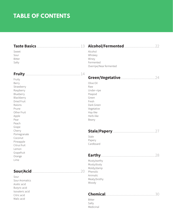# **TABLE OF CONTENTS**

| Sweet         | Alcohol                 |
|---------------|-------------------------|
| Sour          | Whiskey                 |
| <b>Bitter</b> | Winey                   |
| Salty         | Fermented               |
|               | Overripe/Near fermented |

#### **Fruity** ...........................................................14

Fruity Berry Strawberry Raspberry Blueberry Blackberry Dried Fruit Raisins Prune Other Fruit Apple Pear Peach Grape Cherry Pomegranate Coconut Pineapple Citrus fruit Lemon Grapefruit Orange Lime

### **Sour/Acid** ....................................................20

Sour Sour Aromatics Acetic acid Butyric acid Isovaleric acid Citric acid Malic acid

# **Green/Vegetative** .....................................24

Olive Oil Raw Under–ripe Peapod Green Fresh Dark Green Vegetative Hay-like Herb-like Beany

### **Stale/Papery** .............................................27

Stale Papery Cardboard

### **Earthy** ..........................................................28

Musty/earthy Musty/dusty Moldy/damp Phenolic Animalic Meaty/brothy Woody

# **Chemical** .....................................................30

Bitter Salty Medicinal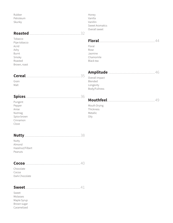Rubber Petroleum Skunky

# **Roasted** .......................................................32

Tobacco Pipe tobacco Acrid Ashy Burnt Smoky Roasted Brown, roast

# **Cereal** ...........................................................35

Grain Malt

### **Spices** ...........................................................36

Pungent Pepper Anise Nutmeg Spice brown Cinnamon Clove

# **Nutty** ............................................................38

Nutty Almond Hazelnut/Filbert Peanuts

### **Cocoa** ...........................................................40

Chocolate Cocoa Dark Chocolate

# **Sweet** ...........................................................41

Sweet Molasses Maple Syrup Brown sugar Caramelized Honey Vanilla Vanillin Sweet Aromatics Overall sweet

# **Floral** ............................................................44

Floral Rose Jasmine Chamomile Black tea

# **Amplitude** ..................................................46

Overall impact Blended Longevity Body/Fullness

# **Mouthfeel** ...................................................49

Mouth Drying Thickness Metallic Oily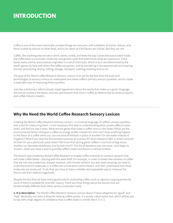# **INTRODUCTION**

Coffee is one of the most chemically complex things we consume, with subtleties of aroma, texture, and flavor rivaled by almost no other food, and it can seem as if its flavors are infinite. But they are not.

Coffee, like anything else we eat or drink, tastes, smells, and feels the way it does because locked inside the coffee bean is a complex molecular and genetic code that determines what we experience. Every flavor, every aroma, every texture originates in a set of chemicals, which in turn are determined by the seed's genes, by how and where the coffee was grown, and by everything it has experienced since leaving the tree (processing, drying, milling, storage, transport, roasting, brewing and so on).

The goal of the World Coffee Research Sensory Lexicon is to use for the first time the tools and technologies of sensory science to understand and name coffee's primary sensory qualities, and to create a replicable way of measuring those qualities.

Just like a dictionary reflects broad, expert agreement about the words that make up a given language, the lexicon contains the tastes, aromas, and textures that exist in coffee as determined by sensory experts and coffee industry leaders.

### **Why We Need the World Coffee Research Sensory Lexicon**

Creating the World Coffee Research Sensory Lexicon—a universal language of coffee's sensory qualities, and a tool for measuring them-is the necessary first step to understanding what causes coffee to taste, smell, and feel the way it does. What are the genes that make a coffee more or less bitter? What are the environmental factors that give a coffee an orange acidity instead of a lime one? Does anything happen to the flavor of a coffee when you use one kind of fertilizer in place of another? Or rain water instead of irrigation? What if you stop the fermentation process at a certain Ph level instead of after a certain amount of time? Or use a particular yeast strain? We know that storing green coffee in one kind of bag versus another can decrease woodiness, but by how much? The list of questions you can pose—and begin to answer-when you have a tool to quantify coffee's tastes and flavors is almost endless.

The lexicon was created by World Coffee Research to enable coffee scientists to conduct research that will make coffee better—starting with the seed itself. For example, in order to breed new varieties of coffee that are not only productive, disease resistant, and climate resilient, but also taste amazing, we need to understand which molecules in a coffee are connected to which flavors, and then understand how those molecules are produced. To do that, you have to have a reliable and repeatable way to measure the flavors and their relative magnitude.

Despite the fact that we have many good tools for evaluating coffee, such as rigorous cupping protocols, none of them is suitable for scientific inquiry. There are three things about the lexicon that are fundamentally different from other sensory evaluation tools:

1. It is descriptive. The World Coffee Research Sensory Lexicon doesn't have categories for "good" and "bad" attributes, nor does it allow for ranking coffee quality. It is purely a descriptive tool, which allows you to say with a high degree of confidence that a coffee tastes or smells like X, Y, or Z.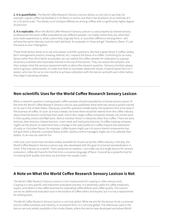2. It is quantifiable. The World Coffee Research Sensory Lexicon allows us not only to say that, for example, a given coffee has blueberry in its flavor or aroma, but that it has blueberry at an intensity of 4 on a 15-point scale. This allows us to compare differences among coffees with a significantly higher degree of precision.

**3. It is replicable.** When the World Coffee Research Sensory Lexicon is used properly by trained sensory professionals the same coffee evaluated by two different people—no matter where they are, what their prior taste experiences is, what culture they originate from, or any other difference among them—will achieve the same intensity score for each attribute. An evaluator in Texas will get "blueberry, flavor: 4" just the same as one in Bangalore.

These three factors allow us to ask and answer scientific questions, like how a given factor X (coffee variety, farm management practice, brewing method, etc.) impacts the flavor of a coffee. Controlling for as many factors other than the X factor as possible, we can submit the coffee samples for evaluation to a group of sensory scientists who have been trained in the use of the lexicon. They can assess the samples, and then analyze what the sensory assessment tells us about the research question. Sensory scientists always work in groups, called panels, to make sure that no one taster skews the results. A typical panel has 5 to 7 tasters, who train for six to nine months to achieve calibration with the lexicon and with each other before they begin evaluating samples.

## **Non-scientific Uses for the World Coffee Research Sensory Lexicon**

When a research question is being posed, coffee samples should evaluated by a trained sensory panel. At the time the World Coffee Research Sensory Lexicon was published, there were two sensory panels trained on its use in the United States. Obviously, scientific questions shade easily into questions that arise daily in the business of coffee. As soon as it was created, we knew there would be interest from the coffee industry about how the lexicon could help their work. And in fact, larger coffee companies already use similar tools in their quality control and R&D work. (Not to mention those in industries other than coffee. There are wine lexicons, beer lexicons, cheese lexicons—even meat and marijuana lexicons.) A coffee roasting company might use the lexicon to determine how a change in the roast profile of a coffee impacts the expression of nutty or chocolate flavors, for example. Coffee buyers might use it to source blend components that will give them a desired, consistent flavor profile. Quality control managers might use it to calibrate their tasters. It can also be used for fun.

Until now, such tools have not been widely available for broad use by the coffee industry. Critically, the World Coffee Research Sensory Lexicon was also developed with the goal of universal standardization in mind. If the industry as a whole—from producers to roasters—can make use of a single lexicon for sensory evaluation, coffee will have for the first time a universal language of flavor. It would be a powerful tool for increasing both quality and value up and down the supply chain.

### **A Note on What the World Coffee Research Sensory Lexicon is Not**

The World Coffee Research Sensory Lexicon is not a replacement for cupping or other sensory tools. Cupping is a very specific and important evaluation process. It is extremely useful for coffee producers, buyers, and others in the coffee business for evaluating coffee defects and coffee quality. The Lexicon can be an additional evaluation tool in the toolbox of coffee sellers and buyers, but it is not a replacement for existing tools.

The World Coffee Research Sensory Lexicon is not truly global. While we aim for the lexicon to be a universal tool for coffee scientists and industry, in its present form, it is not truly global. The references used in the lexicon are only widely available in the Unites States, where the lexicon was developed and where World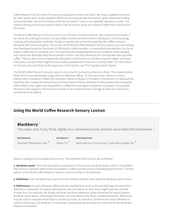Coffee Research will do most of its sensory evaluations in the near future. We hope to adapt the lexicon for other places with locally available references and appropriate translations, given adequate funding and partnerships. But this limitation of the lexicon doesn't mean it isn't globally relevant or useful. The research being conducting using the lexicon will be used to study and improve coffee from every part of the world.

The World Coffee Research Sensory Lexicon is not finished. A sensory lexicon, like a dictionary of words, is by nature an evolving document. As new coffee varieties are discovered or developed, and processing, roasting, and preparation methods change or expand, the universal vocabulary for coffee's sensory attributes will necessarily grow. The version of the World Coffee Research Sensory Lexicon you are reading was developed based on the review of 105 Arabica coffee samples—a comprehensive selection, but by no means a definitive or complete one. The scientists who developed the lexicon looked at these samples and named the attributes they found present in them, but they obviously did not evaluate every possible coffee. There is also room to expand the references in the lexicon to include some with higher and lower intensities, and some that might be more widely available than the ones currently listed. For information on how you can contribute to the expansion of the lexicon, see "A Living Document" below.

The World Coffee Research Sensory Lexicon is not a tool for evaluating defective coffees. The present edition of the lexicon was developed using only non-defective coffees. To the extent that a flavor or aroma traditionally considered a defect (for example, Phenol or Musty) is included in the lexicon, it is because the scientists who created the lexicon found some amount of those attributes in the samples they evaluated. Other defects that might have disqualified a coffee from coming to market are not present. It's possible the lexicon will expand in the future to provide more comprehensive coverage of attributes commonly considered to be defects.

### **Using the World Coffee Research Sensory Lexicon**

### **Blackberry <sup>1</sup>**

The sweet, dark, fruity, floral, slightly sour, somewhat woody aromatic associated with blackberries. **<sup>2</sup>**

**REFERENCE** Smucker's Blackberry Jam **<sup>3</sup> INTENSITY** Flavor: 5.5 **<sup>4</sup> PREPARATION** Serve jam in a 1-ounce cup. Cover with a plastic lid. **<sup>5</sup>**

Above is a diagram of a sample lexicon entry. The elements of the lexicon are as follows:

**1. Attribute name:** This is the descriptive name given to the sensory attribute (taste, smell, or mouthfeel) that sensory scientists determined are present in coffee over the course of developing the lexicon. The first edition of the World Coffee Research Sensory Lexicon contains 110 attributes.

**2. Definition:** Each attribute has a definition that clarifies and describes what the attribute name means.

**3. References:** For each attribute, references are provided that serve as the standard against which that attribute is measured. The above example has only one reference. But others might have two or three or even four. For example, the Smoky attribute has three references: three references for aroma (benzyl disulfide, wood ashes, and smoked almonds) and one reference for flavor (smoked almonds). References may be used to evaluate either flavor or aroma (or both), as indicated. Sometime the same reference is used for more than one attribute. For example, roasted peanuts are used as a reference for the attributes Peanut and Roasted.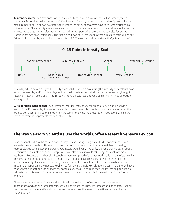**4. Intensity score:** Each reference is given an intensity score on a scale of 1 to 15. The intensity score is the critical factor that makes the World Coffee Research Sensory Lexicon not just a descriptive tool but a measurement one—it allows evaluators to measure the amount of a given flavor or aroma attribute in a coffee sample. The intensity score allows evaluators to compare the strength of the attribute in the sample against the strength in the reference(s) and to assign the appropriate score to the sample. For example, Hazelnut has two flavor references. The first is a solution of 1/8 teaspoon of McCormick Imitation Hazelnut Extract in 1 cup of milk, which gives an intensity of 3.5. The second is double strength (1/4 teaspoon in 1



cup milk), which has an assigned intensity score of 6.0. If you are evaluating the intensity of hazelnut flavor in a coffee sample, and it's notably higher than the first reference and a little below the second, it might receive an intensity score of 5.5. The 15-point intensity scale (see above) is use for many kinds of foods in sensory analysis.

**5. Preparation instructions:** Each reference includes instructions for preparation, including serving instructions. For example, it's always preferable to use covered glass snifters for aroma references so that aromas don't contaminate one another on the table. Following the preparation instructions will ensure that each reference represents the correct intensity.

### **The Way Sensory Scientists Use the World Coffee Research Sensory Lexicon**

Sensory panelists brew the roasted coffees they are evaluating using a standard set of instructions and evaluate the samples hot. (Unless, of course, the lexicon is being used to evaluate different brewing methodologies, which case the brewing parameters would vary.) Typically, it takes a trained panel about 15 minutes to evaluate one coffee sample on 35-40 attributes (it would take longer to evaluate more attributes). Because coffee has significant bitterness compared with other food products, panelists usually only evaluate four to six samples in a session (1.5-2 hours) to avoid sensory fatigue. In order to ensure statistical validity of sensory evaluations, each sample coffee is evaluated three times in a blinded process (meaning that panelists are not aware which coffee is which). Before evaluations begin, the panel will have two to three orientation sessions with the sample coffees, during which they ensure that all panelists are calibrated and discuss which attributes are present in the samples and will be evaluated in the formal analysis.

The evaluation of samples is usually silent. Panelists smell each coffee, consulting references as appropriate, and assign aroma intensity scores. They repeat the process for taste and aftertaste. Once all samples are complete, statistical analyses are run to answer the research questions being addressed by the evaluation.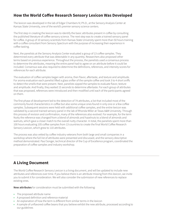# **How the World Coffee Research Sensory Lexicon Was Developed**

The lexicon was developed in the lab of Edgar Chambers IV, Ph.D., at the Sensory Analysis Center at Kansas State University, one of the world's premier sensory science centers.

The first step in creating the lexicon was to identify the basic attributes present in coffee by consulting the published literature of coffee sensory science. The next step was to create a trained sensory panel for coffee. A group of 10 sensory scientists from Kansas State University spent more than 50 hours training with a coffee consultant from Sensory Spectrum with the purpose of increasing their experience in coffee tasting.

Next, the panelists at the Sensory Analysis Center evaluated a group of 13 coffee samples. They determined every attribute that was detectable in any quantity. Researchers also proposed other terms based on previous experience. Throughout the process, the panelists used a consensus process to determine the attributes, meaning the entire panel had to agree on an attribute before it could be included. Consensus was also required to determine the definitions, references, and intensity scores for references for each attribute.

The evaluation of coffee samples began with aroma, then flavor, aftertaste, and texture and amplitude. For aroma evaluation each panelist lifted a glass snifter of the sample coffee and took 3 to 4 short sniffs to detect the smells that were present. Next, panelists sipped the samples to evaluate flavor, texture and amplitude. And finally, they waited 15 seconds to determine aftertaste. For each group of attributes that was proposed, references were introduced and then modified until each of the participants agreed on them.

The first phase of development led to the detection of 74 attributes, a list that included most of the commonly found characteristics in coffee but also some unique ones found in only one or a few coffee samples. Subsequent sessions were held with additional coffee samples, and the entire lexicon was validated by a second trained sensory panel in the lab of Rhonda Miller at Texas A&M University. Through this process of revision and confirmation, many of the references also evolved. For example, for the term Nutty the reference was changed from a blend of almonds and hazelnuts to a blend of almonds and walnuts, which gave a closer match to the overall nutty character. In total, the panelists spent more than 100 hours evaluating 105 coffee samples from 13 countries to create the final World Coffee Research Sensory Lexicon, which grew to 110 attributes.

The process was also vetted by coffee industry veterans from both large and small companies in a workshop where the full list of attributes were presented and discussed, and the sensory descriptive method demonstrated. Paul Songer, technical director of the Cup of Excellence program, coordinated the preparation of coffee samples and industry workshop.

# **A Living Document**

The World Coffee Research Sensory Lexicon is a living document, and will be updated to include new attributes and references over time. If you believe there is an attribute missing from this lexicon, we invite you to submit it for consideration. We will also consider the submission of new references to replace existing ones.

**New attributes** for consideration must be submitted with the following:

- The proposed attribute name
- A proposed definition and reference material
- An explanation of how the term is different from similar terms in the lexicon
- A sample of unflavored coffee beans that you believe exhibit the new attribute, processed according to our guidelines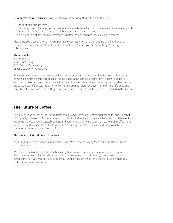**New or revised references** for consideration must be submitted with the following:

- The existing attribute term
- The name/brand of your proposed new reference material, which must be reasonably/widely available for purchase in the United States through major chain stores or online
- An explanation of how the new reference is better than or enhances the existing references

Please include a cover letter with your name and contact information (including email and phone number), and information about the coffee sample or reference you are submitting. Address your submission to:

#### **Rhonda Miller**

Animal Science Room 310 Kleberg 2471 Texas A&M University College Station, TX 77843-2471

Review process: A trained sensory panel will review submissions and samples. For new attributes, the panel will determine if the proposed attribute exists in the sample, ensure that it doesn't duplicate information in other terms, determine a final definition, and determine an intensity for the reference. For proposed new references, the panel will test the proposed reference against the existing reference and verify that it is an improvement. Only after this verification process will new terms be added to the lexicon.

## **The Future of Coffee**

The lexicon is an essential tool for understanding—and increasing—coffee quality and for ensuring that high-quality coffee exists for generations to come. It will significantly advance the work of coffee scientists, including molecular geneticists, breeders, and agronomists, who are studying how to make coffee more productive and resilient for coffee farmers, better tasting for coffee drinkers, and more valuable for everyone who earns a living from coffee.

#### **The mission of World Coffee Research is:**

To grow, protect, and enhance supplies of quality coffee while improving the livelihoods of the families who produce it.

We created the World Coffee Research Sensory Lexicon with that mission in mind. Supporting World Coffee Research enables future innovation in coffee science—and, ultimately, better livelihoods for coffee farmers. If you would like to support our work by becoming a World Coffee Research member, visit worldcoffeeresearch.org.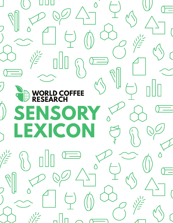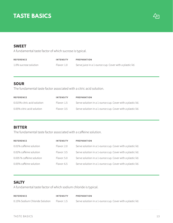# **TASTE BASICS**



### **SWEET**

A fundamental taste factor of which sucrose is typical.

| <b>REFERENCE</b>      | <b>INTENSITY</b> | PREPARATION                                             |
|-----------------------|------------------|---------------------------------------------------------|
| 1.0% sucrose solution | Flavor: 1.0      | Serve juice in a 1-ounce cup. Cover with a plastic lid. |

### **SOUR**

The fundamental taste factor associated with a citric acid solution.

| <b>REFERENCE</b>            | <b>INTENSITY</b> | PREPARATION                                                |
|-----------------------------|------------------|------------------------------------------------------------|
| 0.015% citric acid solution | Flavor: 1.5      | Serve solution in a 1-ounce cup. Cover with a plastic lid. |
| 0.05% citric acid solution  | Flavor: 3.5      | Serve solution in a 1-ounce cup. Cover with a plastic lid. |

### **BITTER**

The fundamental taste factor associated with a caffeine solution.

| <b>REFERENCE</b>          | <b>INTENSITY</b> | <b>PREPARATION</b>                                         |
|---------------------------|------------------|------------------------------------------------------------|
| 0.01% caffeine solution   | Flavor: 2.0      | Serve solution in a 1-ounce cup. Cover with a plastic lid. |
| 0.02% caffeine solution   | Flavor: 3.5      | Serve solution in a 1-ounce cup. Cover with a plastic lid. |
| 0.035 % caffeine solution | Flavor: 5.0      | Serve solution in a 1-ounce cup. Cover with a plastic lid. |
| 0.05% caffeine solution   | Flavor: 6.5      | Serve solution in a 1-ounce cup. Cover with a plastic lid. |

### **SALTY**

A fundamental taste factor of which sodium chloride is typical.

| <b>REFERENCE</b>               | <b>INTENSITY</b> | PREPARATION                                                |
|--------------------------------|------------------|------------------------------------------------------------|
| 0.15% Sodium Chloride Solution | Flavor: 1.5      | Serve solution in a 1-ounce cup. Cover with a plastic lid. |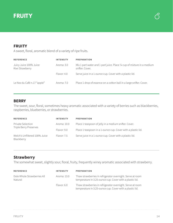



### **FRUITY**

A sweet, floral, aromatic blend of a variety of ripe fruits.

| <b>REFERENCE</b>                          | <b>INTENSITY</b> | PREPARATION                                                                                |
|-------------------------------------------|------------------|--------------------------------------------------------------------------------------------|
| Juicy Juice 100% Juice<br>Kiwi Strawberry | Aroma: 3.0       | Mix 1 part water and 1 part juice. Place 1/4 cup of mixture in a medium<br>snifter. Cover. |
|                                           | Flavor: 4.0      | Serve juice in a 1-ounce cup. Cover with a plastic lid.                                    |
| Le Nez du Café n.17 "apple"               | Aroma: 7.0       | Place 1 drop of essence on a cotton ball in a large snifter. Cover.                        |

### **BERRY**

The sweet, sour, floral, sometimes heavy aromatic associated with a variety of berries such as blackberries, raspberries, blueberries, or strawberries.

| <b>REFERENCE</b>                            | <b>INTENSITY</b> | <b>PREPARATION</b>                                           |
|---------------------------------------------|------------------|--------------------------------------------------------------|
| Private Selection<br>Triple Berry Preserves | Aroma: 10.0      | Place 1 teaspoon of jelly in a medium snifter. Cover.        |
|                                             | Flavor: 9.0      | Place 1 teaspoon in a 1-ounce cup. Cover with a plastic lid. |
| Welch's Unfiltered 100% Juice<br>Blackberry | Flavor: 7.5      | Serve juice in a 1-ounce cup. Cover with a plastic lid.      |

# **Strawberry**

The somewhat sweet, slightly sour, floral, fruity, frequently winey aromatic associated with strawberry.

| <b>REFERENCE</b>                       | <b>INTENSITY</b> | <b>PREPARATION</b>                                                                                                     |
|----------------------------------------|------------------|------------------------------------------------------------------------------------------------------------------------|
| Dole Whole Strawberries All<br>Natural | Aroma: 13.0      | Thaw strawberries in refrigerator overnight. Serve at room<br>temperature in 3.25-ounce cup. Cover with a plastic lid. |
|                                        | Flavor: 6.0      | Thaw strawberries in refrigerator overnight. Serve at room<br>temperature in 3.25-ounce cup. Cover with a plastic lid. |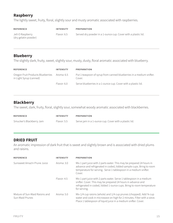# **Raspberry**

The lightly sweet, fruity, floral, slightly sour and musty aromatic associated with raspberries.

| <b>REFERENCE</b>                         | <b>INTENSITY</b> | PREPARATION                                                   |
|------------------------------------------|------------------|---------------------------------------------------------------|
| Jell-O Raspberry<br>(dry gelatin powder) | Flavor: 6.5      | Served dry powder in a 1-ounce cup. Cover with a plastic lid. |

### **Blueberry**

The slightly dark, fruity, sweet, slightly sour, musty, dusty, floral aromatic associated with blueberry.

| <b>REFERENCE</b>                                                           | <b>INTENSITY</b>                                                               | <b>PREPARATION</b>                                            |
|----------------------------------------------------------------------------|--------------------------------------------------------------------------------|---------------------------------------------------------------|
| Oregon Fruit Products Blueberries<br>Aroma: 6.5<br>in Light Syrup (canned) | Put 1 teaspoon of syrup from canned blueberries in a medium snifter.<br>Cover. |                                                               |
|                                                                            | Flavor: 6.0                                                                    | Serve blueberries in a 1-ounce cup. Cover with a plastic lid. |

### **Blackberry**

The sweet, dark, fruity, floral, slightly sour, somewhat woody aromatic associated with blackberries.

| <b>REFERENCE</b>         | <b>INTENSITY</b> | PREPARATION                                           |
|--------------------------|------------------|-------------------------------------------------------|
| Smucker's Blackberry Jam | Flavor: 5.5      | Serve jam in a 1-ounce cup. Cover with a plastic lid. |

### **DRIED FRUIT**

An aromatic impression of dark fruit that is sweet and slightly brown and is associated with dried plums and raisins.

| <b>REFERENCE</b>                                           | <b>INTENSITY</b> | <b>PREPARATION</b>                                                                                                                                                                                                           |
|------------------------------------------------------------|------------------|------------------------------------------------------------------------------------------------------------------------------------------------------------------------------------------------------------------------------|
| Sunsweet Amaz!n Prune Juice<br>Aroma: $3.0$<br>Flavor: 4.5 |                  | Mix 1 part juice with 2 parts water. This may be prepared 24 hours in<br>advance and refrigerated in coded, lidded sample cups. Bring to room<br>temperature for serving. Serve 1 tablespoon in a medium snifter.<br>Cover.  |
|                                                            |                  | Mix 1 part juice with 2 parts water. Serve 1 tablespoon in a medium<br>snifter. Cover. This may be prepared 24 hours in advance and<br>refrigerated in coded, lidded 1-ounce cups. Bring to room temperature<br>for serving. |
| Mixture of Sun-Maid Raisins and<br>Sun-Maid Prunes         | Aroma: $5.0$     | Mix 1/4 cup raisins (whole) and 1/4 cup prunes (chopped). Add 3/4 cup<br>water and cook in microwave on high for 2 minutes. Filter with a sieve.<br>Place 1 tablespoon of liquid juice in a medium snifter. Cover.           |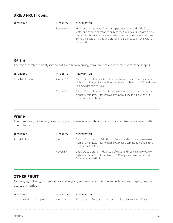### **DRIED FRUIT Cont.**

| <b>REFERENCE</b> | <b>INTENSITY</b> | <b>PREPARATION</b>                                                                                                                                                                                                                                                                                               |
|------------------|------------------|------------------------------------------------------------------------------------------------------------------------------------------------------------------------------------------------------------------------------------------------------------------------------------------------------------------|
|                  | Flavor: 6.0      | Mix 1/4 cup raisins (whole) and 1/4 cup prunes (chopped). Add 3/4 cup<br>water and cook in microwave on high for 2 minutes. Filter with a sieve.<br>Place the mixture in a blender and mix for 1 minute at medium speed.<br>Serve the paste of raisins and prunes in a 1-ounce cup. Cover with a<br>plastic lid. |

## **Raisin**

The concentrated, sweet, somewhat sour, brown, fruity, floral aromatic characteristic of dried grapes.

| <b>REFERENCE</b>               | <b>INTENSITY</b> | <b>PREPARATION</b>                                                                                                                                                               |
|--------------------------------|------------------|----------------------------------------------------------------------------------------------------------------------------------------------------------------------------------|
| Sun-Maid Raisins<br>Aroma: 6.0 |                  | Chop 1/2 cup of raisins. Add 34 cup water and cook in microwave on<br>high for 2 minutes. Filter with a sieve. Place 1 tablespoon of liquid juice<br>in a medium snifter. Cover. |
|                                | Flavor: 5.5      | Chop 1/2 cup of raisins. Add 3/4 cup water and cook in microwave on<br>high for 2 minutes. Filter with a sieve. Serve juice in a 1-ounce cup.<br>Cover with a plastic lid.       |

### **Prune**

The sweet, slightly brown, floral, musty and overripe aromatic impression of dark fruit associated with dried plums.

| <b>REFERENCE</b>              | <b>INTENSITY</b> | <b>PREPARATION</b>                                                                                                                                                         |
|-------------------------------|------------------|----------------------------------------------------------------------------------------------------------------------------------------------------------------------------|
| Sun-Maid Prunes<br>Aroma: 4.5 |                  | Chop 1/2 cup prunes. Add 3/4 cup of water and cook in microwave on<br>high for 2 minutes. Filter with a sieve. Place 1 tablespoon of juice in a<br>medium snifter. Cover.  |
|                               | Flavor: 5.0      | Chop 1/2 cup prunes. Add 3/4 cup of water and cook in microwave on<br>high for 2 minutes. Filter with a sieve. Pour juice into a 1-ounce cup.<br>Cover a with plastic lid. |

### **OTHER FRUIT**

A sweet, light, fruity, somewhat floral, sour, or green aromatic that may include apples, grapes, peaches, pears, or cherries.

| <b>REFERENCE</b>            | <b>INTENSITY</b> | <b>PREPARATION</b>                                                  |
|-----------------------------|------------------|---------------------------------------------------------------------|
| Le Nez du Café n.17 "apple" | Aroma: 7.0       | Place 1 drop of essence on a cotton ball in a large snifter. Cover. |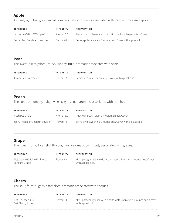# **Apple**

A sweet, light, fruity, somewhat floral aromatic commonly associated with fresh or processed apples.

| <b>REFERENCE</b>            | <b>INTENSITY</b> | PREPARATION                                                         |
|-----------------------------|------------------|---------------------------------------------------------------------|
| Le Nez du Café n.17 "apple" | Aroma: 5.0       | Place 1 drop of essence on a cotton ball in a large snifter. Cover. |
| Gerber 2nd Foods Applesauce | Flavor: 6.0      | Serve applesauce in a 1-ounce cup. Cover with a plastic lid.        |

### **Pear**

The sweet, slightly floral, musty, woody, fruity aromatic associated with pears.

| <b>REFERENCE</b>        | <b>INTENSITY</b> | PREPARATION                                             |
|-------------------------|------------------|---------------------------------------------------------|
| Jumax Pear Nectar (can) | Flavor: 7.5      | Serve juice in a 1-ounce cup. Cover with a plastic lid. |

### **Peach**

The floral, perfuming, fruity, sweet, slightly sour aromatic associated with peaches.

| <b>REFERENCE</b>                  | <b>INTENSITY</b> | <b>PREPARATION</b>                                           |
|-----------------------------------|------------------|--------------------------------------------------------------|
| Fresh peach pit                   | Aroma: 8.0       | Put clean peach pit in a medium snifter. Cover.              |
| Jell-O Peach (dry gelatin powder) | Flavor: 7.0      | Serve dry powder in a 1-ounce cup. Cover with a plastic lid. |

### **Grape**

The sweet, fruity, floral, slightly sour, musty aromatic commonly associated with grapes.

| <b>REFERENCE</b>                               | <b>INTENSITY</b> | <b>PREPARATION</b>                                                                             |
|------------------------------------------------|------------------|------------------------------------------------------------------------------------------------|
| Welch's 100% Juice Unfiltered<br>Concord Grape | Flavor: 5.0      | Mix 1 part grape juice with 1 part water. Serve in a 1-ounce cup. Cover<br>with a plastic lid. |

# **Cherry**

The sour, fruity, slightly bitter, floral aromatic associated with cherries.

| <b>REFERENCE</b>                       | <b>INTENSITY</b> | PREPARATION                                                                                      |
|----------------------------------------|------------------|--------------------------------------------------------------------------------------------------|
| R.W. Knudsen Just<br>Tart Cherry Juice | Flavor: 4.0      | Mix 1 part cherry juice with 2 parts water. Serve in a 1-ounce cup. Cover<br>with a plastic lid. |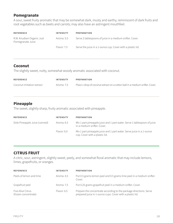### **Pomegranate**

A sour, sweet fruity aromatic that may be somewhat dark, musty and earthy, reminiscent of dark fruits and root vegetables such as beets and carrots; may also have an astringent mouthfeel.

| <b>REFERENCE</b>                               | <b>INTENSITY</b> | <b>PREPARATION</b>                                          |
|------------------------------------------------|------------------|-------------------------------------------------------------|
| R.W. Knudsen Organic Just<br>Pomegranate Juice | Aroma: 5.5       | Serve 2 tablespoons of juice in a medium snifter. Cover.    |
|                                                | Flavor: 7.5      | Serve the juice in a 1-ounce cup. Cover with a plastic lid. |

## **Coconut**

The slightly sweet, nutty, somewhat woody aromatic associated with coconut.

| <b>REFERENCE</b>          | <b>INTENSITY</b> | PREPARATION                                                                  |
|---------------------------|------------------|------------------------------------------------------------------------------|
| Coconut imitation extract | Aroma: 7.5       | Place 1 drop of coconut extract on a cotton ball in a medium snifter. Cover. |

# **Pineapple**

The sweet, slightly sharp, fruity aromatic associated with pineapple.

| <b>REFERENCE</b>              | <b>INTENSITY</b> | <b>PREPARATION</b>                                                                                      |
|-------------------------------|------------------|---------------------------------------------------------------------------------------------------------|
| Dole Pineapple Juice (canned) | Aroma: 6.5       | Mix 1 part pineapple juice and 1 part water. Serve 1 tablespoon of juice<br>in a medium snifter. Cover. |
|                               | Flavor: 6.0      | Mix 1 part pineapple juice and 1 part water. Serve juice in a 1-ounce<br>cup. Cover with a plastic lid. |

# **CITRUS FRUIT**

A citric, sour, astringent, slightly sweet, peely, and somewhat floral aromatic that may include lemons, limes, grapefruits, or oranges.

| <b>REFERENCE</b>                          | <b>INTENSITY</b> | <b>PREPARATION</b>                                                                                                              |
|-------------------------------------------|------------------|---------------------------------------------------------------------------------------------------------------------------------|
| Peels of lemon and lime                   | Aroma: 4.5       | Put 0.5 grams lemon peel and 0.5 grams lime peel in a medium snifter.<br>Cover.                                                 |
| Grapefruit peel                           | Aroma: 7.5       | Put 0.25 grams grapefruit peel in a medium snifter. Cover.                                                                      |
| Five Alive Citrus<br>(frozen concentrate) | Flavor: 6.5      | Prepare the concentrate according to the package directions. Serve<br>prepared juice in 1-ounce cups. Cover with a plastic lid. |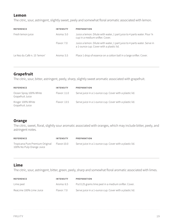### **Lemon**

The citric, sour, astringent, slightly sweet, peely and somewhat floral aromatic associated with lemon.

| <b>REFERENCE</b>             | <b>INTENSITY</b> | <b>PREPARATION</b>                                                                                                    |
|------------------------------|------------------|-----------------------------------------------------------------------------------------------------------------------|
| Fresh lemon juice            | Aroma: 5.0       | Juice a lemon. Dilute with water, 1 part juice to 4 parts water. Pour 1/4<br>cup in a medium snifter. Cover.          |
|                              | Flavor: 7.0      | Juice a lemon. Dilute with water, 1 part juice to 4 parts water. Serve in<br>a 1-ounce cup. Cover with a plastic lid. |
| Le Nez du Café n. 15 'lemon' | Aroma: 5.5       | Place 1 drop of essence on a cotton ball in a large snifter. Cover.                                                   |

# **Grapefruit**

The citric, sour, bitter, astringent, peely, sharp, slightly sweet aromatic associated with grapefruit.

| <b>REFERENCE</b>                           | <b>INTENSITY</b> | PREPARATION                                             |
|--------------------------------------------|------------------|---------------------------------------------------------|
| Ocean Spray 100% White<br>Grapefruit Juice | Flavor: 11.0     | Serve juice in a 1-ounce cup. Cover with a plastic lid. |
| Kroger 100% White<br>Grapefruit Juice      | Flavor: 13.5     | Serve juice in a 1-ounce cup. Cover with a plastic lid. |

# **Orange**

The citric, sweet, floral, slightly sour aromatic associated with oranges, which may include bitter, peely, and astringent notes.

| <b>REFERENCE</b>                                             | <b>INTENSITY</b> | PREPARATION                                             |
|--------------------------------------------------------------|------------------|---------------------------------------------------------|
| Tropicana Pure Premium Original<br>100% No Pulp Orange Juice | Flavor:10.0      | Serve juice in a 1-ounce cup. Cover with a plastic lid. |

# **Lime**

The citric, sour, astringent, bitter, green, peely, sharp and somewhat floral aromatic associated with limes.

| <b>REFERENCE</b>        | <b>INTENSITY</b> | PREPARATION                                             |
|-------------------------|------------------|---------------------------------------------------------|
| Lime peel               | Aroma: 6.5       | Put 0.25 grams lime peel in a medium snifter. Cover.    |
| ReaLime 100% Lime Juice | Flavor: 7.0      | Serve juice in a 1-ounce cup. Cover with a plastic lid. |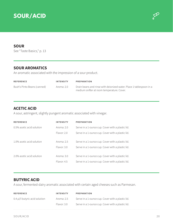



### **SOUR**

See "Taste Basics," p. 13

### **SOUR AROMATICS**

An aromatic associated with the impression of a sour product.

| <b>REFERENCE</b>            | <b>INTENSITY</b> | PREPARATION                                                                                                       |
|-----------------------------|------------------|-------------------------------------------------------------------------------------------------------------------|
| Bush's Pinto Beans (canned) | Aroma: 2.0       | Drain beans and rinse with deionized water. Place 1 tablespoon in a<br>medium snifter at room temperature. Cover. |

### **ACETIC ACID**

A sour, astringent, slightly pungent aromatic associated with vinegar.

| <b>REFERENCE</b>          | INTENSITY   | <b>PREPARATION</b>                                |
|---------------------------|-------------|---------------------------------------------------|
| 0.5% acetic acid solution | Aroma: 2.0  | Serve in a 1-ounce cup. Cover with a plastic lid. |
|                           | Flavor: 2.0 | Serve in a 1-ounce cup. Cover with a plastic lid. |
| 1.0% acetic acid solution | Aroma: 2.5  | Serve in a 1-ounce cup. Cover with a plastic lid. |
|                           | Flavor: 3.0 | Serve in a 1-ounce cup. Cover with a plastic lid. |
| 2.0% acetic acid solution | Aroma: 3.0  | Serve in a 1-ounce cup. Cover with a plastic lid. |
|                           | Flavor: 4.5 | Serve in a 1-ounce cup. Cover with a plastic lid. |

### **BUTYRIC ACID**

A sour, fermented-dairy aromatic associated with certain aged cheeses such as Parmesan.

| <b>REFERENCE</b>                 | <b>INTENSITY</b> | PREPARATION                                       |
|----------------------------------|------------------|---------------------------------------------------|
| $0.4$ µl/l butyric acid solution | Aroma: 2.5       | Serve in a 1-ounce cup. Cover with a plastic lid. |
|                                  | Flavor: 3.0      | Serve in a 1-ounce cup. Cover with a plastic lid. |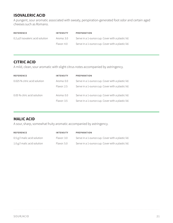# **ISOVALERIC ACID**

A pungent, sour aromatic associated with sweaty, perspiration-generated foot odor and certain aged cheeses such as Romano.

| <b>REFERENCE</b>                  | <b>INTENSITY</b> | PREPARATION                                       |
|-----------------------------------|------------------|---------------------------------------------------|
| 0.2 µl/l isovaleric acid solution | Aroma: 3.0       | Serve in a 1-ounce cup. Cover with a plastic lid. |
|                                   | Flavor: 4.0      | Serve in a 1-ounce cup. Cover with a plastic lid. |

### **CITRIC ACID**

A mild, clean, sour aromatic with slight citrus notes accompanied by astringency.

| <b>REFERENCE</b>             | <b>INTENSITY</b> | <b>PREPARATION</b>                                |
|------------------------------|------------------|---------------------------------------------------|
| 0.025 % citric acid solution | Aroma: $0.0$     | Serve in a 1-ounce cup. Cover with a plastic lid. |
|                              | Flavor: 2.5      | Serve in a 1-ounce cup. Cover with a plastic lid. |
| 0.05 % citric acid solution  | Aroma: $0.0$     | Serve in a 1-ounce cup. Cover with a plastic lid. |
|                              | Flavor: 3.5      | Serve in a 1-ounce cup. Cover with a plastic lid. |

# **MALIC ACID**

A sour, sharp, somewhat fruity aromatic accompanied by astringency.

| <b>REFERENCE</b>              | <b>INTENSITY</b> | PREPARATION                                       |
|-------------------------------|------------------|---------------------------------------------------|
| $0.5$ g/l malic acid solution | Flavor: 3.0      | Serve in a 1-ounce cup. Cover with a plastic lid. |
| 1.0 $g/l$ malic acid solution | Flavor: 5.0      | Serve in a 1-ounce cup. Cover with a plastic lid. |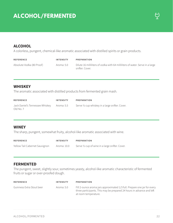# **ALCOHOL/FERMENTED**



### **ALCOHOL**

A colorless, pungent, chemical-like aromatic associated with distilled spirits or grain products.

| <b>REFERENCE</b>          | <b>INTENSITY</b> | PREPARATION                                                                                      |
|---------------------------|------------------|--------------------------------------------------------------------------------------------------|
| Absolute Vodka (80 Proof) | Aroma: 5.0       | Dilute 16 milliliters of vodka with 64 milliliters of water. Serve in a large<br>snifter. Cover. |

### **WHISKEY**

The aromatic associated with distilled products from fermented grain mash.

| <b>REFERENCE</b>                                        | <b>INTENSITY</b> | PREPARATION                                      |
|---------------------------------------------------------|------------------|--------------------------------------------------|
| Jack Daniel's Tennessee Whiskey Aroma: 5.5<br>Old No. 7 |                  | Serve 1/2 cup whiskey in a large snifter. Cover. |

### **WINEY**

The sharp, pungent, somewhat fruity, alcohol-like aromatic associated with wine.

| <b>REFERENCE</b>               | <b>INTENSITY</b> | PREPARATION                                      |
|--------------------------------|------------------|--------------------------------------------------|
| Yellow Tail Cabernet Sauvignon | Aroma: 10.0      | Serve 1/2 cup of wine in a large snifter. Cover. |

### **FERMENTED**

The pungent, sweet, slightly sour, sometimes yeasty, alcohol-like aromatic characteristic of fermented fruits or sugar or over-proofed dough.

| <b>REFERENCE</b>          | <b>INTENSITY</b> | PREPARATION                                                                                                                                                               |
|---------------------------|------------------|---------------------------------------------------------------------------------------------------------------------------------------------------------------------------|
| Guinness Extra Stout beer | Aroma: 5.0       | Fill 2-ounce aroma jars approximated 1/3 full. Prepare one jar for every<br>three participants. This may be prepared 24 hours in advance and left<br>at room temperature. |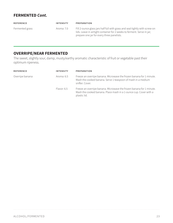### **FERMENTED Cont.**

| <b>REFERENCE</b> | <b>INTENSITY</b> | PREPARATION                                                                                                                                                                                          |
|------------------|------------------|------------------------------------------------------------------------------------------------------------------------------------------------------------------------------------------------------|
| Fermented grass  | Aroma: 7.0       | Fill 2-ounce glass jars half full with grass and seal tightly with screw-on<br>lids. Leave in airtight container for 2 weeks to ferment. Serve in jar;<br>prepare one jar for every three panelists. |

# **OVERRIPE/NEAR FERMENTED**

The sweet, slightly sour, damp, musty/earthy aromatic characteristic of fruit or vegetable past their optimum ripeness.

| <b>REFERENCE</b>              | <b>INTENSITY</b>                                                                                                                                        | <b>PREPARATION</b>                                                                                                                                        |
|-------------------------------|---------------------------------------------------------------------------------------------------------------------------------------------------------|-----------------------------------------------------------------------------------------------------------------------------------------------------------|
| Overripe banana<br>Aroma: 6.5 | Freeze an overripe banana. Microwave the frozen banana for 1 minute.<br>Mash the cooked banana. Serve 1 teaspoon of mash in a medium<br>snifter. Cover. |                                                                                                                                                           |
|                               | Flavor: 6.5                                                                                                                                             | Freeze an overripe banana. Microwave the frozen banana for 1 minute.<br>Mash the cooked banana. Place mash in a 1-ounce cup. Cover with a<br>plastic lid. |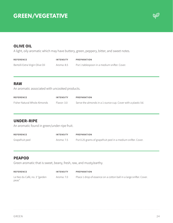# **GREEN/VEGETATIVE**



### **OLIVE OIL**

A light, oily aromatic which may have buttery, green, peppery, bitter, and sweet notes.

| <b>REFERENCE</b>                | <b>INTENSITY</b> | PREPARATION                                  |
|---------------------------------|------------------|----------------------------------------------|
| Bertolli Extra Virgin Olive Oil | Aroma: 8.5       | Put 1 tablespoon in a medium snifter. Cover. |

#### **RAW**

An aromatic associated with uncooked products.

| <b>REFERENCE</b>             | <b>INTENSITY</b> | <b>PREPARATION</b>                                            |
|------------------------------|------------------|---------------------------------------------------------------|
| Fisher Natural Whole Almonds | Flavor: 3.0      | Serve the almonds in a 1-ounce cup. Cover with a plastic lid. |

### **UNDER–RIPE**

An aromatic found in green/under-ripe fruit.

| <b>REFERENCE</b> | <b>INTENSITY</b> | PREPARATION                                                   |
|------------------|------------------|---------------------------------------------------------------|
| Grapefruit peel  | Aroma: 7.5       | Put 0.25 grams of grapefruit peel in a medium snifter. Cover. |

### **PEAPOD**

Green aromatic that is sweet, beany, fresh, raw, and musty/earthy.

| <b>REFERENCE</b>                       | <b>INTENSITY</b> | <b>PREPARATION</b>                                                  |
|----------------------------------------|------------------|---------------------------------------------------------------------|
| Le Nez du Café, no. 3 "garden<br>peas" | Aroma: 7.0       | Place 1 drop of essence on a cotton ball in a large snifter. Cover. |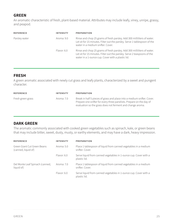# **GREEN**

An aromatic characteristic of fresh, plant-based material. Attributes may include leafy, viney, unripe, grassy, and peapod.

| <b>REFERENCE</b>            | <b>INTENSITY</b>                                                                                                                                                                          | PREPARATION                                                                                                                                                                                              |
|-----------------------------|-------------------------------------------------------------------------------------------------------------------------------------------------------------------------------------------|----------------------------------------------------------------------------------------------------------------------------------------------------------------------------------------------------------|
| Parsley water<br>Aroma: 9.0 | Rinse and chop 25 grams of fresh parsley. Add 300 milliliters of water.<br>Let sit for 15 minutes. Filter out the parsley. Serve 1 tablespoon of the<br>water in a medium snifter. Cover. |                                                                                                                                                                                                          |
|                             | Flavor: 6.0                                                                                                                                                                               | Rinse and chop 25 grams of fresh parsley. Add 300 milliliters of water.<br>Let sit for 15 minutes. Filter out the parsley. Serve 2 teaspoons of the<br>water in a 1-ounce cup. Cover with a plastic lid. |

### **FRESH**

A green aromatic associated with newly cut grass and leafy plants, characterized by a sweet and pungent character.

| <b>REFERENCE</b>  | <b>INTENSITY</b> | <b>PREPARATION</b>                                                                                                                                                                                            |
|-------------------|------------------|---------------------------------------------------------------------------------------------------------------------------------------------------------------------------------------------------------------|
| Fresh green grass | Aroma: 7.0       | Break in half 5 pieces of grass and place into a medium snifter. Cover.<br>Prepare one snifter for every three panelists. Prepare on the day of<br>evaluation so the grass does not ferment and change aroma. |

# **DARK GREEN**

The aromatic commonly associated with cooked green vegetables such as spinach, kale, or green beans that may include bitter, sweet, dusty, musty, or earthy elements, and may have a dark, heavy impression.

| <b>REFERENCE</b>                                   | <b>INTENSITY</b> | PREPARATION                                                                        |
|----------------------------------------------------|------------------|------------------------------------------------------------------------------------|
| Green Giant Cut Green Beans<br>(canned, liquid of) | Aroma: 5.0       | Place 1 tablespoon of liquid from canned vegetables in a medium<br>snifter. Cover. |
|                                                    | Flavor: 6.0      | Serve liquid from canned vegetables in 1-ounce cup. Cover with a<br>plastic lid.   |
| Del Monte Leaf Spinach (canned,<br>liquid of)      | Aroma: 7.0       | Place 1 tablespoon of liquid from canned vegetables in a medium<br>snifter. Cover. |
|                                                    | Flavor: 6.0      | Serve liquid from canned vegetables in 1-ounce cup. Cover with a<br>plastic lid.   |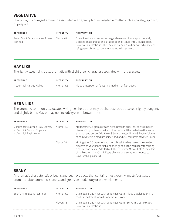# **VEGETATIVE**

Sharp, slightly pungent aromatic associated with green plant or vegetable matter such as parsley, spinach, or peapod.

| <b>REFERENCE</b>                             | <b>INTENSITY</b> | <b>PREPARATION</b>                                                                                                                                                                                                                                                          |
|----------------------------------------------|------------------|-----------------------------------------------------------------------------------------------------------------------------------------------------------------------------------------------------------------------------------------------------------------------------|
| Green Giant Cut Asparagus Spears<br>(canned) | Flavor: 6.0      | Drain liquid from can, saving vegetable water. Place approximately<br>3 pieces of asparagus and 1 tablespoon of liquid into 1-ounce cups.<br>Cover with a plastic lid. This may be prepared 24 hours in advance and<br>refrigerated. Bring to room temperature for serving. |

### **HAY-LIKE**

The lightly sweet, dry, dusty aromatic with slight green character associated with dry grasses.

| <b>REFERENCE</b>         | <b>INTENSITY</b> | PREPARATION                                            |
|--------------------------|------------------|--------------------------------------------------------|
| McCormick Parsley Flakes | Aroma: 7.5       | Place 1 teaspoon of flakes in a medium snifter. Cover. |

### **HERB-LIKE**

The aromatic commonly associated with green herbs that may be characterized as sweet, slightly pungent, and slightly bitter. May or may not include green or brown notes.

| <b>REFERENCE</b>                                                                                                       | INTENSITY                                                                                                                                                                                                                                                                                                                                     | <b>PREPARATION</b> |
|------------------------------------------------------------------------------------------------------------------------|-----------------------------------------------------------------------------------------------------------------------------------------------------------------------------------------------------------------------------------------------------------------------------------------------------------------------------------------------|--------------------|
| Mixture of McCormick Bay Leaves,<br>Aroma: 6.0<br>McCormick Ground Thyme, and<br>McCormick Basil Leaves<br>Flavor: 5.0 | Mix together 0.5 grams of each herb. Break the bay leaves into smaller<br>pieces with your hands first, and then grind all the herbs together using<br>a mortar and pestle. Add 100 milliliters of water. Mix well. Put 5 milliliters<br>of herb water in a medium snifter, and add 200 milliliters of water. Cover.                          |                    |
|                                                                                                                        | Mix together 0.5 grams of each herb. Break the bay leaves into smaller<br>pieces with your hands first, and then grind all the herbs together using<br>a mortar and pestle. Add 100 milliliters of water. Mix well. Mix 5 milliliters<br>of herb water with 200 milliliters of water and serve in a 1-ounce cup.<br>Cover with a plastic lid. |                    |

### **BEANY**

An aromatic characteristic of beans and bean products that contains musty/earthy, musty/dusty, sour aromatic, bitter aromatic, starchy, and green/peapod, nutty or brown elements.

| <b>REFERENCE</b>            | <b>INTENSITY</b> | <b>PREPARATION</b>                                                                                                 |
|-----------------------------|------------------|--------------------------------------------------------------------------------------------------------------------|
| Bush's Pinto Beans (canned) | Aroma: 7.0       | Drain beans and rinse with de-ionized water. Place 1 tablespoon in a<br>medium snifter at room temperature. Cover. |
| Flavor: 7.5                 |                  | Drain beans and rinse with de-ionized water. Serve in 1-ounce cups.<br>Cover with a plastic lid.                   |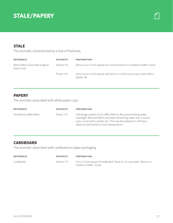# **STALE/PAPERY**

## **STALE**

The aromatic characterized by a lack of freshness.

| <b>REFERENCE</b>                            | <b>INTENSITY</b> | <b>PREPARATION</b>                                                                    |
|---------------------------------------------|------------------|---------------------------------------------------------------------------------------|
| Mama Mary's Gourmet Original<br>Pizza Crust | Aroma: 4.5       | Serve cut a 2-inch square of crust and serve in a medium snifter. Cover.              |
|                                             | Flavor: 4.0      | Serve cut a 2-inch square and serve in a 3.25-ounce cup. Cover with a<br>plastic lid. |

### **PAPERY**

The aromatic associated with white paper cups.

| <b>REFERENCE</b>         | <b>INTENSITY</b> | <b>PREPARATION</b>                                                                                                                                                                                                                                  |
|--------------------------|------------------|-----------------------------------------------------------------------------------------------------------------------------------------------------------------------------------------------------------------------------------------------------|
| Pure Brew coffee filters | Flavor: 2.5      | Submerge a stack of 15 coffee filters in 48 ounces boiling water<br>overnight. Remove filters and place remaining water into 1-ounce<br>cups. Cover with a plastic lid. This may be prepared in 24 hours<br>advance and stored at room temperature. |

# **CARDBOARD**

The aromatic associated with cardboard or paper packaging.

| <b>REFERENCE</b> | <b>INTENSITY</b> | PREPARATION                                                                                    |
|------------------|------------------|------------------------------------------------------------------------------------------------|
| Cardboard        | Aroma: 7.5       | Cut a 2-inch square of cardboard. Place in 1/2 cup water. Serve in a<br>medium snifter. Cover. |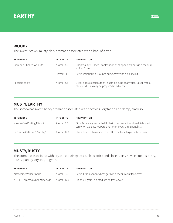



## **WOODY**

The sweet, brown, musty, dark aromatic associated with a bark of a tree.

| <b>REFERENCE</b>        | <b>INTENSITY</b> | <b>PREPARATION</b>                                                                                                     |
|-------------------------|------------------|------------------------------------------------------------------------------------------------------------------------|
| Diamond Shelled Walnuts | Aroma: $4.0$     | Chop walnuts. Place 1 tablespoon of chopped walnuts in a medium<br>snifter. Cover.                                     |
|                         | Flavor: 4.0      | Serve walnuts in a 1-ounce cup. Cover with a plastic lid.                                                              |
| Popsicle sticks         | Aroma: 7.5       | Break popsicle sticks to fit in sample cups of any size. Cover with a<br>plastic lid. This may be prepared in advance. |

## **MUSTY/EARTHY**

The somewhat sweet, heavy aromatic associated with decaying vegetation and damp, black soil.

| <b>REFERENCE</b>              | <b>INTENSITY</b> | <b>PREPARATION</b>                                                                                                                          |
|-------------------------------|------------------|---------------------------------------------------------------------------------------------------------------------------------------------|
| Miracle-Gro Potting Mix soil  | Aroma: 9.0       | Fill a 2-ounce glass jar half full with potting soil and seal tightly with<br>screw-on type lid. Prepare one jar for every three panelists. |
| Le Nez du Café no. 1 "earthy" | Aroma: 12.0      | Place 1 drop of essence on a cotton ball in a large snifter. Cover.                                                                         |

### **MUSTY/DUSTY**

The aromatic associated with dry, closed-air spaces such as attics and closets. May have elements of dry, musty, papery, dry soil, or grain.

| <b>REFERENCE</b>                 | <b>INTENSITY</b> | <b>PREPARATION</b>                                        |
|----------------------------------|------------------|-----------------------------------------------------------|
| Kretschmer Wheat Germ            | Aroma: 5.0       | Serve 1 tablespoon wheat germ in a medium snifter. Cover. |
| 2, 3, 4 - Trimethoxybenzaldehyde | Aroma: 10.0      | Place 0.1 gram in a medium snifter. Cover.                |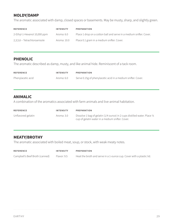# **MOLDY/DAMP**

The aromatic associated with damp, closed spaces or basements. May be musty, sharp, and slightly green.

| <b>REFERENCE</b>             | <b>INTENSITY</b> | PREPARATION                                                         |
|------------------------------|------------------|---------------------------------------------------------------------|
| 2-Ethyl-1-Hexanol 10,000 ppm | Aroma: 6.0       | Place 1 drop on a cotton ball and serve in a medium snifter. Cover. |
| 2,3,5,6 – Tetrachloroanisole | Aroma: 10.0      | Place 0.1 gram in a medium snifter. Cover.                          |

## **PHENOLIC**

The aromatic described as damp, musty, and like animal hide. Reminiscent of a tack room.

| <b>REFERENCE</b>  | <b>INTENSITY</b> | PREPARATION                                                  |
|-------------------|------------------|--------------------------------------------------------------|
| Phenylacetic acid | Aroma: 6.0       | Serve 0.15g of phenylacetic acid in a medium snifter. Cover. |

### **ANIMALIC**

A combination of the aromatics associated with farm animals and live-animal habitation.

| <b>REFERENCE</b>   | <b>INTENSITY</b> | PREPARATION                                                                                                                    |
|--------------------|------------------|--------------------------------------------------------------------------------------------------------------------------------|
| Unflavored gelatin | Aroma: 3.0       | Dissolve 1 bag of gelatin (1/4 ounce) in 2 cups distilled water. Place 1/4<br>cup of gelatin water in a medium snifter. Cover. |

### **MEATY/BROTHY**

The aromatic associated with boiled meat, soup, or stock, with weak meaty notes.

| <b>REFERENCE</b>               | <b>INTENSITY</b> | PREPARATION                                                          |
|--------------------------------|------------------|----------------------------------------------------------------------|
| Campbell's Beef Broth (canned) | Flavor: 9.5      | Heat the broth and serve in a 1-ounce cup. Cover with a plastic lid. |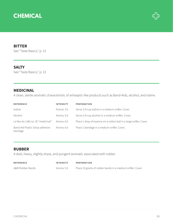

### **BITTER**

See "Taste Basics," p. 13

### **SALTY**

See "Taste Basics," p. 13

### **MEDICINAL**

A clean, sterile aromatic characteristic of antiseptic-like products such as Band-Aids, alcohol, and iodine.

| <b>REFERENCE</b>                            | <b>INTENSITY</b> | <b>PREPARATION</b>                                                  |
|---------------------------------------------|------------------|---------------------------------------------------------------------|
| lodine                                      | Aroma: 3.0       | Serve 1/4 cup iodine in a medium snifter. Cover.                    |
| Alcohol                                     | Aroma: 5.0       | Serve 1/4 cup alcohol in a medium snifter. Cover.                   |
| Le Nez du Café no. 35 "medicinal"           | Aroma: 6.0       | Place 1 drop of essence on a cotton ball in a large snifter. Cover. |
| Band-Aid Plastic Strips adhesive<br>bandage | Aroma: 6.0       | Place 1 bandage in a medium snifter. Cover.                         |

### **RUBBER**

A dark, heavy, slightly sharp, and pungent aromatic associated with rubber.

| <b>REFERENCE</b> | <b>INTENSITY</b> | PREPARATION                                                |
|------------------|------------------|------------------------------------------------------------|
| A&W Rubber Bands | Aroma: 5.0       | Place 10 grams of rubber bands in a medium snifter. Cover. |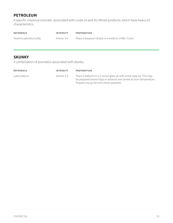# **PETROLEUM**

A specific chemical aromatic associated with crude oil and its refined products, which have heavy oil characteristics.

| <b>REFERENCE</b>         | <b>INTENSITY</b> | PREPARATION                                           |
|--------------------------|------------------|-------------------------------------------------------|
| Vaseline petroleum jelly | Aroma: 3.0       | Place a teaspoon of jelly in a medium snifter. Cover. |

### **SKUNKY**

A combination of aromatics associated with skunks.

| <b>REFERENCE</b> | <b>INTENSITY</b> | <b>PREPARATION</b>                                                                                                                                                                         |
|------------------|------------------|--------------------------------------------------------------------------------------------------------------------------------------------------------------------------------------------|
| Latex balloon    | Aroma: 2.5       | Place 2 balloons in a 2-ounce glass jar with screw-type lid. This may<br>be prepared several days in advance and stored at room temperature.<br>Prepare one jar for every three panelists. |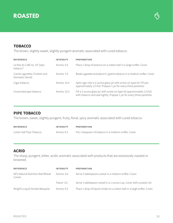



### **TOBACCO**

The brown, slightly sweet, slightly pungent aromatic associated with cured tobacco.

| <b>REFERENCE</b>                                 | <b>INTENSITY</b> | <b>PREPARATION</b>                                                                                                                                |
|--------------------------------------------------|------------------|---------------------------------------------------------------------------------------------------------------------------------------------------|
| Le Nez du Café no. 33 "pipe<br>tobacco"          | Aroma: 5.0       | Place 1 drop of essence on a cotton ball in a large snifter. Cover.                                                                               |
| Camel cigarettes (Turkish and<br>Domestic blend) | Aroma: 7.0       | Break cigarette and place 0.1 grams tobacco in a medium snifter. Cover.                                                                           |
| Cigar tobacco                                    | Aroma: 10.5      | Split cigar into a 2-ounce glass jar with screw-on type lid. Fill jars<br>approximately 1/3 full. Prepare 1 jar for every three panelists.        |
| Unscented pipe tobacco                           | Aroma: 10.5      | Fill a 2-ounce glass jar with screw-on type lid approximately 1/3 full<br>with tobacco and seal tightly. Prepare 1 jar for every three panelists. |

### **PIPE TOBACCO**

The brown, sweet, slightly pungent, fruity, floral, spicy aromatic associated with cured tobacco.

| <b>REFERENCE</b>         | <b>INTENSITY</b> | PREPARATION                                           |
|--------------------------|------------------|-------------------------------------------------------|
| Carter Hall Pipe Tobacco | Aroma: 6.5       | Put 1 teaspoon of tobacco in a medium snifter. Cover. |

### **ACRID**

The sharp, pungent, bitter, acidic aromatic associated with products that are excessively roasted or browned.

| <b>REFERENCE</b>                            | <b>INTENSITY</b> | <b>PREPARATION</b>                                                       |
|---------------------------------------------|------------------|--------------------------------------------------------------------------|
| Alf's Natural Nutrition Red Wheat<br>Cereal | Aroma: 3.0       | Serve 2 tablespoons cereal in a medium snifter. Cover.                   |
|                                             | Flavor: 3.0      | Serve 1 tablespoon cereal in a 1-ounce cup. Cover with a plastic lid.    |
| Wright's Liquid Smoke Mesquite              | Aroma: 9.5       | Place 1 drop of liquid smoke on a cotton ball in a large snifter. Cover. |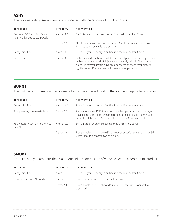# **ASHY**

The dry, dusty, dirty, smoky aromatic associated with the residual of burnt products.

| <b>REFERENCE</b>                                               | <b>INTENSITY</b> | <b>PREPARATION</b>                                                                                                                                                                                                                                                               |
|----------------------------------------------------------------|------------------|----------------------------------------------------------------------------------------------------------------------------------------------------------------------------------------------------------------------------------------------------------------------------------|
| Gerkens 10/12 Midnight Black<br>heavily alkalized cocoa powder | Aroma: 2.5       | Put 1/2 teaspoon of cocoa powder in a medium snifter. Cover.                                                                                                                                                                                                                     |
|                                                                | Flavor: 3.5      | Mix 1/4 teaspoon cocoa powder with 100 milliliters water. Serve in a<br>1-ounce cup. Cover with a plastic lid.                                                                                                                                                                   |
| Benzyl disulfide                                               | Aroma: 4.0       | Place 0.1 gram of benzyl disulfide in a medium snifter. Cover.                                                                                                                                                                                                                   |
| Paper ashes                                                    | Aroma: $4.0$     | Obtain ashes from burned white paper and place in 2-ounce glass jars<br>with screw-on type lids. Fill jars approximately 1/3 full. This may be<br>prepared several days in advance and stored at room temperature,<br>tightly sealed. Prepare one jar for every three panelists. |

### **BURNT**

The dark brown impression of an over-cooked or over-roasted product that can be sharp, bitter, and sour.

| <b>REFERENCE</b>                            | <b>INTENSITY</b> | <b>PREPARATION</b>                                                                                                                                                                                                      |
|---------------------------------------------|------------------|-------------------------------------------------------------------------------------------------------------------------------------------------------------------------------------------------------------------------|
| Benzyl disulfide                            | Aroma: 4.5       | Place 0.1 gram of benzyl disulfide in a medium snifter. Cover.                                                                                                                                                          |
| Raw peanuts, over-roasted/burnt             | Flavor: 7.5      | Preheat oven to 425°F. Place raw, blanched peanuts in a single layer<br>on a baking sheet lined with parchment paper. Roast for 20 minutes.<br>Peanuts will be burnt. Serve in a 1-ounce cup. Cover with a plastic lid. |
| Alf's Natural Nutrition Red Wheat<br>Cereal | Aroma: 8.0       | Serve 1 tablespoon of cereal in a medium snifter. Cover.                                                                                                                                                                |
|                                             | Flavor: 3.0      | Place 1 tablespoon of cereal in a 1-ounce cup. Cover with a plastic lid.<br>Cereal should be tasted two at a time.                                                                                                      |

### **SMOKY**

An acute, pungent aromatic that is a product of the combustion of wood, leaves, or a non-natural product.

| <b>REFERENCE</b>       | <b>INTENSITY</b> | <b>PREPARATION</b>                                                              |
|------------------------|------------------|---------------------------------------------------------------------------------|
| Benzyl disulfide       | Aroma: 3.5       | Place 0.1 gram of benzyl disulfide in a medium snifter. Cover.                  |
| Diamond Smoked Almonds | Aroma: 6.0       | Place 5 almonds in a medium snifter. Cover.                                     |
|                        | Flavor: 5.0      | Place 1 tablespoon of almonds in a 3.25 ounce cup. Cover with a<br>plastic lid. |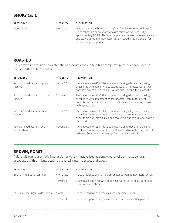### **SMOKY Cont.**

| <b>REFERENCE</b> | <b>INTENSITY</b> | <b>PREPARATION</b>                                                                                                                                                                                                                                                                                                      |
|------------------|------------------|-------------------------------------------------------------------------------------------------------------------------------------------------------------------------------------------------------------------------------------------------------------------------------------------------------------------------|
| Wood Ashes       | Aroma: 5.0       | Obtain ashes from burned wood (from fireplace or outdoor fire pit).<br>Place ashes in 2-ounce glass jars with screw-on type lids. Fill jars<br>approximately 1/3 full. This may be prepared several days in advance<br>and stored at room temperature, tightly sealed. Prepare one jar for<br>every three participants. |

### **ROASTED**

Dark brown impression characteristic of products cooked to a high temperature by dry heat. Does not include bitter or burnt notes.

| <b>REFERENCE</b>                             | <b>INTENSITY</b> | <b>PREPARATION</b>                                                                                                                                                                                                               |
|----------------------------------------------|------------------|----------------------------------------------------------------------------------------------------------------------------------------------------------------------------------------------------------------------------------|
| Raw blanched peanuts, lightly<br>roasted     | Flavor: 2.5      | Preheat oven to 425°F. Place peanuts in a single layer on a baking<br>sheet lined with parchment paper. Roast for 7 minutes. Peanuts will<br>not show any color. Serve in a 1-ounce cup. Cover with a plastic lid.               |
| Raw blanched peanuts, medium-<br>roasted     | Flavor: 6.5      | Preheat oven to 425°F. Place peanuts in a single layer on a baking<br>sheet lined with parchment paper. Roast for 10 minutes or until<br>peanuts are medium brown in color. Serve in a 1-ounce cup. Cover<br>with a plastic lid. |
| Raw blanched peanuts, dark-<br>roasted       | Flavor: 9.5      | Preheat oven to 425°F. Place peanuts in a single layer on a baking<br>sheet lined with parchment paper. Roast for 15 minutes or until<br>peanuts are dark brown in color. Serve in a 1-ounce cup. Cover with a<br>plastic lid.   |
| Raw blanched peanuts, over-<br>roasted/burnt | Flavor: 15.0     | Preheat oven to 425°F. Place peanuts in a single layer on a baking<br>sheet lined with parchment paper. Roast for 20 minutes. Peanuts will<br>be burnt. Serve in a 1-ounce cup. Cover with a plastic lid.                        |

### **BROWN, ROAST**

A rich, full, round aromatic impression always characterized as some degree of darkness, generally associated with attributes such as toasted, nutty, roasted, and sweet.

| <b>REFERENCE</b>                  | <b>INTENSITY</b> | <b>PREPARATION</b>                                                                                |
|-----------------------------------|------------------|---------------------------------------------------------------------------------------------------|
| Bush's Pinto Beans (canned)       | Aroma: $6.0$     | Place 1 tablespoon in a medium snifter at room temperature. Cover.                                |
|                                   | Flavor: 3.0      | Drain beans and rinse with de-ionized water. Serve in a 1-ounce cup.<br>Cover with a plastic lid. |
| C&H Pure Cane Sugar, Golden Brown | Aroma: $3.02$    | Place 1 teaspoon of sugar in a medium snifter. Cover.                                             |
|                                   | Flavor: 7.0      | Place 1 teaspoon of sugar in a 1-ounce cup. Cover with a plastic lid.                             |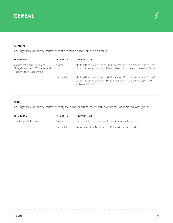



## **GRAIN**

The light brown, dusty, musty, sweet aromatic associated with grains.

| <b>REFERENCE</b>                                                                               | <b>INTENSITY</b> | <b>PREPARATION</b>                                                                                                                                                       |
|------------------------------------------------------------------------------------------------|------------------|--------------------------------------------------------------------------------------------------------------------------------------------------------------------------|
| Mixture of General Mills Rice<br>Chex, General Mills Wheaties and<br>Quaker Quick Oats cereals | Aroma: 5.0       | Mix together 1/2 cup of each kind of cereal. Put in a blender and "pulse"<br>blend into small particles. Place 1 tablespoon in a medium snifter. Cover.                  |
|                                                                                                | Flavor: 8.0      | Mix together 1/2 cup of each kind of cereal. Put in a blender and "pulse"<br>blend into small particles. Serve 1 teaspoon in a 1-ounce cup. Cover<br>with a plastic lid. |

### **MALT**

The light brown, dusty, musty, sweet, sour and or slightly fermented aromatic associated with grains.

| <b>REFERENCE</b>       | <b>INTENSITY</b> | <b>PREPARATION</b>                                       |
|------------------------|------------------|----------------------------------------------------------|
| Post Grape-Nuts cereal | Aroma: 3.5       | Place 1 tablespoon of cereal in a medium snifter. Cover. |
|                        | Flavor: 8.0      | Serve cereal in a 1-ounce cup. Cover with a plastic lid. |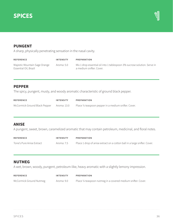



### **PUNGENT**

A sharp, physically penetrating sensation in the nasal cavity.

| <b>REFERENCE</b>                                       | <b>INTENSITY</b> | PREPARATION                                                                                          |
|--------------------------------------------------------|------------------|------------------------------------------------------------------------------------------------------|
| Majestic Mountain Sage Orange<br>Essential Oil, Brazil | Aroma: 5.0       | Mix 1 drop essential oil into 1 tablespoon 3% sucrose solution. Serve in<br>a medium snifter. Cover. |

### **PEPPER**

The spicy, pungent, musty, and woody aromatic characteristic of ground black pepper.

| <b>REFERENCE</b>                          | INTENSITY | PREPARATION                                           |
|-------------------------------------------|-----------|-------------------------------------------------------|
| McCormick Ground Black Pepper Aroma: 13.0 |           | Place 1/2 teaspoon pepper in a medium snifter. Cover. |

### **ANISE**

A pungent, sweet, brown, caramelized aromatic that may contain petroleum, medicinal, and floral notes.

| <b>REFERENCE</b>          | <b>INTENSITY</b> | <b>PREPARATION</b>                                                        |
|---------------------------|------------------|---------------------------------------------------------------------------|
| Tone's Pure Anise Extract | Aroma: 7.5       | Place 1 drop of anise extract on a cotton ball in a large snifter. Cover. |

### **NUTMEG**

A wet, brown, woody, pungent, petroleum-like, heavy aromatic with a slightly lemony impression.

| <b>REFERENCE</b>        | <b>INTENSITY</b> | PREPARATION                                                   |
|-------------------------|------------------|---------------------------------------------------------------|
| McCormick Ground Nutmeg | Aroma: 9.0       | Place 1/4 teaspoon nutmeg in a covered medium snifter. Cover. |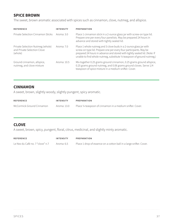## **SPICE BROWN**

The sweet, brown aromatic associated with spices such as cinnamon, clove, nutmeg, and allspice.

| <b>REFERENCE</b>                                                           | INTENSITY    | <b>PREPARATION</b>                                                                                                                                                                                                                                                                               |
|----------------------------------------------------------------------------|--------------|--------------------------------------------------------------------------------------------------------------------------------------------------------------------------------------------------------------------------------------------------------------------------------------------------|
| Private Selection Cinnamon Sticks                                          | Aroma: $3.0$ | Place 1 cinnamon stick in a 2-ounce glass jar with screw-on type lid.<br>Prepare one per every four panelists. May be prepared 24 hours in<br>advance and stored with tightly sealed lid.                                                                                                        |
| Private Selection Nutmeg (whole)<br>and Private Selection Clove<br>(whole) | Aroma: 7.0   | Place 1 whole nutmeg and 3 clove buds in a 2-ounce glass jar with<br>screw-on type lid. Prepare one per every four participants. May be<br>prepared 24 hours in advance and stored with tightly sealed lid. (Note: If<br>unable to find whole nutmeg, substitute 1/4 teaspoon of ground nutmeg.) |
| Ground cinnamon, allspice,<br>nutmeg, and clove mixture                    | Aroma: 10.5  | Mix together 0.25 grams ground cinnamon, 0.25 grams ground allspice,<br>0.25 grams ground nutmeg, and 0.06 grams ground cloves. Serve 1/4<br>teaspoon of spice mixture in a medium snifter. Cover.                                                                                               |

### **CINNAMON**

A sweet, brown, slightly woody, slightly pungent, spicy aromatic.

| <b>REFERENCE</b>          | <b>INTENSITY</b> | PREPARATION                                                |
|---------------------------|------------------|------------------------------------------------------------|
| McCormick Ground Cinnamon | Aroma: 13.0      | Place 1/4 teaspoon of cinnamon in a medium snifter. Cover. |

### **CLOVE**

A sweet, brown, spicy, pungent, floral, citrus, medicinal, and slightly minty aromatic.

| <b>REFERENCE</b>                            | INTENSITY | PREPARATION                                                         |
|---------------------------------------------|-----------|---------------------------------------------------------------------|
| Le Nez du Café no. 7 "clove" n.7 Aroma: 6.5 |           | Place 1 drop of essence on a cotton ball in a large snifter. Cover. |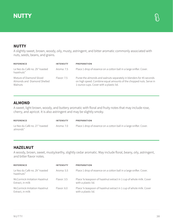# **NUTTY**

A slightly sweet, brown, woody, oily, musty, astringent, and bitter aromatic commonly associated with nuts, seeds, beans, and grains.

| <b>REFERENCE</b>                                                    | <b>INTENSITY</b> | <b>PREPARATION</b>                                                                                                                                                                   |
|---------------------------------------------------------------------|------------------|--------------------------------------------------------------------------------------------------------------------------------------------------------------------------------------|
| Le Nez du Café no. 29 "roasted<br>hazelnuts"                        | Aroma: 7.5       | Place 1 drop of essence on a cotton ball in a large snifter. Cover.                                                                                                                  |
| Mixture of Diamond Sliced<br>Almonds and Diamond Shelled<br>Walnuts | Flavor: 7.5      | Puree the almonds and walnuts separately in blenders for 45 seconds<br>on high speed. Combine equal amounts of the chopped nuts. Serve in<br>1-ounce cups. Cover with a plastic lid. |

## **ALMOND**

A sweet, light brown, woody, and buttery aromatic with floral and fruity notes that may include rose, cherry, and apricot. It is also astringent and may be slightly smoky.

| <b>REFERENCE</b>                           | INTENSITY  | PREPARATION                                                         |
|--------------------------------------------|------------|---------------------------------------------------------------------|
| Le Nez du Café no. 27 "roasted<br>almonds" | Aroma: 7.0 | Place 1 drop of essence on a cotton ball in a large snifter. Cover. |

# **HAZELNUT**

A woody, brown, sweet, musty/earthy, slightly cedar aromatic. May include floral, beany, oily, astringent, and bitter flavor notes.

| <b>REFERENCE</b>                                 | <b>INTENSITY</b> | <b>PREPARATION</b>                                                                          |
|--------------------------------------------------|------------------|---------------------------------------------------------------------------------------------|
| Le Nez du Café no. 29 "roasted<br>hazelnuts"     | Aroma: 5.5       | Place 1 drop of essence on a cotton ball in a large snifter. Cover.                         |
| McCormick Imitation Hazelnut<br>Extract, in milk | Flavor: 3.5      | Place 1/8 teaspoon of hazelnut extract in 1 cup of whole milk. Cover<br>with a plastic lid. |
| McCormick Imitation Hazelnut<br>Extract, in milk | Flavor: 6.0      | Place 1/4 teaspoon of hazelnut extract in 1 cup of whole milk. Cover<br>with a plastic lid. |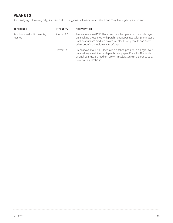# **PEANUTS**

A sweet, light brown, oily, somewhat musty/dusty, beany aromatic that may be slightly astringent.

| <b>REFERENCE</b>                      | <b>INTENSITY</b> | PREPARATION                                                                                                                                                                                                                                                  |
|---------------------------------------|------------------|--------------------------------------------------------------------------------------------------------------------------------------------------------------------------------------------------------------------------------------------------------------|
| Raw blanched bulk peanuts,<br>roasted | Aroma: 8.5       | Preheat oven to 425°F. Place raw, blanched peanuts in a single layer<br>on a baking sheet lined with parchment paper. Roast for 10 minutes or<br>until peanuts are medium brown in color. Chop peanuts and serve 1<br>tablespoon in a medium snifter. Cover. |
|                                       | Flavor: 7.5      | Preheat oven to 425°F. Place raw, blanched peanuts in a single layer<br>on a baking sheet lined with parchment paper. Roast for 10 minutes<br>or until peanuts are medium brown in color. Serve in a 1-ounce cup.<br>Cover with a plastic lid.               |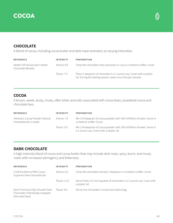



## **CHOCOLATE**

A blend of cocoa, including cocoa butter and dark roast aromatics at varying intensities.

| <b>REFERENCE</b>                                  | <b>INTENSITY</b> | <b>PREPARATION</b>                                                                                                                   |
|---------------------------------------------------|------------------|--------------------------------------------------------------------------------------------------------------------------------------|
| Nestle Toll House Semi-Sweet<br>Chocolate Morsels | Aroma: 8.0       | Chop the chocolate chips and place 1/4 cup in a medium snifter. Cover.                                                               |
|                                                   | Flavor: 7.5      | Place 1 teaspoon of chocolate in a 1-ounce cup. Cover with a plastic<br>lid. During the tasting session, taste once chip per sample. |

### **COCOA**

A brown, sweet, dusty, musty, often bitter aromatic associated with cocoa bean, powdered cocoa and chocolate bars.

| <b>REFERENCE</b>                                        | <b>INTENSITY</b> | <b>PREPARATION</b>                                                                                                   |
|---------------------------------------------------------|------------------|----------------------------------------------------------------------------------------------------------------------|
| Hershey's Cocoa Powder Natural<br>Unsweetened, in water | Aroma: 7.5       | Mix 1/4 teaspoon of cocoa powder with 100 milliliters of water. Serve in<br>a medium snifter. Cover.                 |
|                                                         | Flavor: 5.0      | Mix 1/4 teaspoon of cocoa powder with 100 milliliters of water. Serve in<br>a 1-ounce cup. Cover with a plastic lid. |

### **DARK CHOCOLATE**

A high-intensity blend of cocoa and cocoa butter that may include dark roast, spicy, burnt, and musty notes with increased astringency and bitterness.

| <b>REFERENCE</b>                                                                       | <b>INTENSITY</b> | <b>PREPARATION</b>                                                                       |
|----------------------------------------------------------------------------------------|------------------|------------------------------------------------------------------------------------------|
| Lindt Excellence 90% Cocoa<br>Supreme Dark chocolate bar                               | Aroma: $6.0$     | Chop the chocolate and put 1 teaspoon in a medium snifter. Cover.                        |
|                                                                                        | Flavor: 11.0     | Serve three 1/2-inch squares of chocolate in a 1-ounce cup. Cover with<br>a plastic lid. |
| Dove Promises Silky Smooth Dark<br>Chocolate (individually wrapped<br>bite-sized bars) | Flavor: 8.5      | Serve one chocolate in snack-size Ziploc bag.                                            |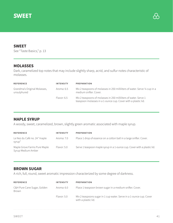

### **SWEET**

See "Taste Basics," p. 13

### **MOLASSES**

Dark, caramelized top notes that may include slightly sharp, acrid, and sulfur notes characteristic of molasses.

| <b>REFERENCE</b>                            | <b>INTENSITY</b> | <b>PREPARATION</b>                                                                                                                |
|---------------------------------------------|------------------|-----------------------------------------------------------------------------------------------------------------------------------|
| Grandma's Original Molasses,<br>unsulphured | Aroma: 6.5       | Mix 2 teaspoons of molasses in 250 milliliters of water. Serve 1/4 cup in a<br>medium snifter. Cover.                             |
|                                             | Flavor: 6.5      | Mix 2 teaspoons of molasses in 250 milliliters of water. Serve 1<br>teaspoon molasses in a 1-ounce cup. Cover with a plastic lid. |

### **MAPLE SYRUP**

A woody, sweet, caramelized, brown, slightly green aromatic associated with maple syrup.

| <b>REFERENCE</b>                                   | <b>INTENSITY</b> | <b>PREPARATION</b>                                                       |
|----------------------------------------------------|------------------|--------------------------------------------------------------------------|
| Le Nez du Café no. 24 "maple<br>syrup"             | Aroma: 7.0       | Place 1 drop of essence on a cotton ball in a large snifter. Cover.      |
| Maple Grove Farms Pure Maple<br>Syrup Medium Amber | Flavor: 5.0      | Serve 1 teaspoon maple syrup in a 1-ounce cup. Cover with a plastic lid. |

### **BROWN SUGAR**

A rich, full, round, sweet aromatic impression characterized by some degree of darkness.

| <b>REFERENCE</b>                     | <b>INTENSITY</b> | <b>PREPARATION</b>                                                                         |
|--------------------------------------|------------------|--------------------------------------------------------------------------------------------|
| C&H Pure Cane Sugar, Golden<br>Brown | Aroma: 6.0       | Place 1 teaspoon brown sugar in a medium snifter. Cover.                                   |
|                                      | Flavor: 5.0      | Mix 2 teaspoons sugar in 1 cup water. Serve in a 1-ounce cup. Cover<br>with a plastic lid. |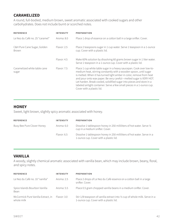## **CARAMELIZED**

A round, full-bodied, medium brown, sweet aromatic associated with cooked sugars and other carbohydrates. Does not include burnt or scorched notes.

| <b>REFERENCE</b>                            | <b>INTENSITY</b> | <b>PREPARATION</b>                                                                                                                                                                                                                                                                                                                                                                                                                                                      |
|---------------------------------------------|------------------|-------------------------------------------------------------------------------------------------------------------------------------------------------------------------------------------------------------------------------------------------------------------------------------------------------------------------------------------------------------------------------------------------------------------------------------------------------------------------|
| Le Nez du Café no. 25 "caramel"             | Aroma: 8.0       | Place 1 drop of essence on a cotton ball in a large snifter. Cover.                                                                                                                                                                                                                                                                                                                                                                                                     |
| C&H Pure Cane Sugar, Golden<br><b>Brown</b> | Flavor: 2.5      | Place 2 teaspoons sugar in 1 cup water. Serve 1 teaspoon in a 1-ounce<br>cup. Cover with a plastic lid.                                                                                                                                                                                                                                                                                                                                                                 |
|                                             | Flavor: 4.5      | Make 60% solution by dissolving 60 grams brown sugar in 1 liter water.<br>Serve 1 teaspoon in a 1-ounce cup. Cover with a plastic lid.                                                                                                                                                                                                                                                                                                                                  |
| Caramelized white table cane<br>sugar       | Flavor: 7.5      | Place 1 cup white table sugar in a heavy saucepan. Cook over low-to-<br>medium heat, stirring constantly with a wooden spoon, until sugar<br>is melted. When it has turned light amber in color, remove from heat<br>and pour onto wax paper. Be very careful—melted sugar is VERY HOT.<br>Let harden. Break cooled, solidified sugar into pieces and store in a<br>labeled airtight container. Serve a few small pieces in a 1-ounce cup.<br>Cover with a plastic lid. |

### **HONEY**

Sweet, light brown, slightly spicy aromatic associated with honey.

| <b>REFERENCE</b>           | <b>INTENSITY</b> | <b>PREPARATION</b>                                                                                                |
|----------------------------|------------------|-------------------------------------------------------------------------------------------------------------------|
| Busy Bee Pure Clover Honey | Aroma: 6.0       | Dissolve 1 tablespoon honey in 250 milliliters of hot water. Serve 1/4<br>cup in a medium snifter. Cover.         |
|                            | Flavor: 6.5      | Dissolve 1 tablespoon honey in 250 milliliters of hot water. Serve in a<br>1-ounce cup. Cover with a plastic lid. |

### **VANILLA**

A woody, slightly chemical aromatic associated with vanilla bean, which may include brown, beany, floral, and spicy notes.

| <b>REFERENCE</b>                                 | <b>INTENSITY</b> | <b>PREPARATION</b>                                                                                                    |
|--------------------------------------------------|------------------|-----------------------------------------------------------------------------------------------------------------------|
| Le Nez du Café no. 10 "vanilla"                  | Aroma: $2.5$     | Place 2 drops of Le Nez du Café essence on a cotton ball in a large<br>snifter. Cover.                                |
| Spice Islands Bourbon Vanilla<br>Bean            | Aroma: 5.5       | Place 0.5 gram chopped vanilla beans in a medium snifter. Cover.                                                      |
| McCormick Pure Vanilla Extract, in<br>whole milk | Flavor: 3.0      | Stir 1/8 teaspoon of vanilla extract into 1/2 cup of whole milk. Serve in a<br>1-ounce cup. Cover with a plastic lid. |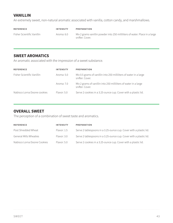# **VANILLIN**

An extremely sweet, non-natural aromatic associated with vanilla, cotton candy, and marshmallows.

| <b>REFERENCE</b>           | <b>INTENSITY</b> | PREPARATION                                                                                    |
|----------------------------|------------------|------------------------------------------------------------------------------------------------|
| Fisher Scientific Vanillin | Aroma: 6.0       | Mix 2 grams vanillin powder into 250 milliliters of water. Place in a large<br>snifter. Cover. |

### **SWEET AROMATICS**

An aromatic associated with the impression of a sweet substance.

| <b>REFERENCE</b>            | <b>INTENSITY</b> | <b>PREPARATION</b>                                                                    |
|-----------------------------|------------------|---------------------------------------------------------------------------------------|
| Fisher Scientific Vanillin  | Aroma: 5.0       | Mix 0.5 grams of vanillin into 250 milliliters of water in a large<br>snifter. Cover. |
|                             | Aroma: 7.0       | Mix 2 grams of vanillin into 250 milliliters of water in a large<br>snifter. Cover.   |
| Nabisco Lorna Doone cookies | Flavor: 5.0      | Serve 2 cookies in a 3.25-ounce cup. Cover with a plastic lid.                        |

### **OVERALL SWEET**

The perception of a combination of sweet taste and aromatics.

| <b>REFERENCE</b>            | <b>INTENSITY</b> | <b>PREPARATION</b>                                                 |
|-----------------------------|------------------|--------------------------------------------------------------------|
| Post Shredded Wheat         | Flavor: 1.5      | Serve 2 tablespoons in a 3.25-ounce cup. Cover with a plastic lid. |
| General Mills Wheaties      | Flavor: 3.0      | Serve 2 tablespoons in a 3.25-ounce cup. Cover with a plastic lid. |
| Nabisco Lorna Doone Cookies | Flavor: 5.0      | Serve 2 cookies in a 3.25-ounce cup. Cover with a plastic lid.     |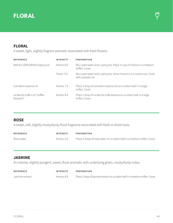



### **FLORAL**

A sweet, light, slightly fragrant aromatic associated with fresh flowers.

| <b>REFERENCE</b>                        | <b>INTENSITY</b> | <b>PREPARATION</b>                                                                             |
|-----------------------------------------|------------------|------------------------------------------------------------------------------------------------|
| Welch's 100% White Grape juice          | Aroma: $6.0$     | Mix 1 part water and 1 part juice. Place 1/4 cup of mixture in a medium<br>snifter. Cover.     |
|                                         | Flavor: 5.0      | Mix 1 part water and 1 part juice. Serve mixure in a 1-ounce cup. Cover<br>with a plastic lid. |
| Carnation essence oil                   | Aroma: 7.5       | Place 1 drop of Carnation essence oil on a cotton ball in a large<br>snifter. Cover.           |
| Le Nez du Café n.12 "coffee<br>blossom" | Aroma: 8.0       | Place 1 drop of Le Nez du Café essence on a cotton ball in a large<br>snifter. Cover.          |

### **ROSE**

A sweet, soft, slightly musty/dusty floral fragrance associated with fresh or dried roses.

| <b>REFERENCE</b> | <b>INTENSITY</b> | PREPARATION                                                              |
|------------------|------------------|--------------------------------------------------------------------------|
| Rose water       | Aroma: 5.0       | Place 2 drops of rose water on a cotton ball in a medium snifter. Cover. |

### **JASMINE**

An intense, slightly pungent, sweet, floral aromatic with underlying green, musty/dusty notes.

| <b>REFERENCE</b> | <b>INTENSITY</b> | PREPARATION                                                                  |
|------------------|------------------|------------------------------------------------------------------------------|
| Jasmine extract  | Aroma: 8.5       | Place 1 drop of jasmine extract on a cotton ball in a medium snifter. Cover. |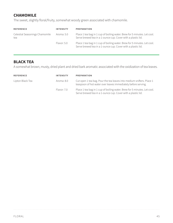# **CHAMOMILE**

The sweet, slightly floral/fruity, somewhat woody green associated with chamomile.

| <b>REFERENCE</b>                      | <b>INTENSITY</b> | <b>PREPARATION</b>                                                                                                                       |
|---------------------------------------|------------------|------------------------------------------------------------------------------------------------------------------------------------------|
| Celestial Seasonings Chamomile<br>tea | Aroma: 5.0       | Place 1 tea bag in 1 cup of boiling water. Brew for 5 minutes. Let cool.<br>Serve brewed tea in a 1-ounce cup. Cover with a plastic lid. |
|                                       | Flavor: 5.0      | Place 1 tea bag in 1 cup of boiling water. Brew for 5 minutes. Let cool.<br>Serve brewed tea in a 1-ounce cup. Cover with a plastic lid. |

### **BLACK TEA**

A somewhat brown, musty, dried plant and dried bark aromatic associated with the oxidization of tea leaves.

| <b>REFERENCE</b> | <b>INTENSITY</b> | <b>PREPARATION</b>                                                                                                                       |
|------------------|------------------|------------------------------------------------------------------------------------------------------------------------------------------|
| Lipton Black Tea | Aroma: 8.0       | Cut open 1 tea bag. Pour the tea leaves into medium snifters. Place 1<br>teaspoon of hot water over leaves immediately before serving.   |
|                  | Flavor: 7.0      | Place 1 tea bag in 1 cup of boiling water. Brew for 5 minutes. Let cool.<br>Serve brewed tea in a 1-ounce cup. Cover with a plastic lid. |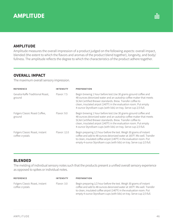# **AMPLITUDE**

### **AMPLITUDE**

Amplitude measures the overall impression of a product judged on the following aspects: overall impact, blended (the extent to which the flavors and aromas of the product blend together), longevity, and body/ fullness. The amplitude reflects the degree to which the characteristics of the product adhere together.

### **OVERALL IMPACT**

The maximum overall sensory impression.

| <b>REFERENCE</b>                                  | INTENSITY    | <b>PREPARATION</b>                                                                                                                                                                                                                                                                                                                         |
|---------------------------------------------------|--------------|--------------------------------------------------------------------------------------------------------------------------------------------------------------------------------------------------------------------------------------------------------------------------------------------------------------------------------------------|
| Gevalia Kaffe Traditional Roast,<br>ground        | Flavor: 7.5  | Begin brewing 1 hour before test. Use 30 grams ground coffee and<br>48 ounces deionized water and an autodrip coffee maker that meets<br>SCAA Certified Brewer standards, Brew, Transfer coffee to<br>clean, insulated airpot (140°F) in the evaluation room. Put empty<br>4-ounce Styrofoam cups (with lids) on tray. Serve cup 2/3 full. |
| Folgers Classic Roast Coffee,<br>ground           | Flavor: 9.0  | Begin brewing 1 hour before test. Use 30 grams ground coffee and<br>48 ounces deionized water and an autodrip coffee maker that meets<br>SCAA Certified Brewer standards, Brew, Transfer coffee to<br>clean, insulated airpot (140°F) in the evaluation room. Put empty<br>4-ounce Styrofoam cups (with lids) on tray. Serve cup 2/3 full. |
| Folgers Classic Roast, instant<br>coffee crystals | Flavor: 12.0 | Begin preparing 1/2 hour before the test. Weigh 30 grams of instant<br>coffee and add to 48 ounces deionized water at 165°F. Mix well. Transfer<br>to clean, insulated coffee airpot (140°F) in the evaluation room. Put<br>empty 4-ounce Styrofoam cups (with lids) on tray. Serve cup 2/3 full.                                          |

### **BLENDED**

The melding of individual sensory notes such that the products present a unified overall sensory experience as opposed to spikes or individual notes.

| <b>REFERENCE</b>                                  | <b>INTENSITY</b> | <b>PREPARATION</b>                                                                                                                                                                                                                                                                                |
|---------------------------------------------------|------------------|---------------------------------------------------------------------------------------------------------------------------------------------------------------------------------------------------------------------------------------------------------------------------------------------------|
| Folgers Classic Roast, instant<br>coffee crystals | Flavor: 3.0      | Begin preparing 1/2 hour before the test. Weigh 30 grams of instant<br>coffee and add to 48 ounces deionized water at 165°F. Mix well. Transfer<br>to clean, insulated coffee airpot (140°F) in the evaluation room. Put<br>empty 4-ounce Styrofoam cups (with lids) on tray. Serve cup 2/3 full. |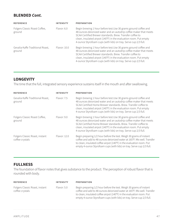### **BLENDED Cont.**

| <b>REFERENCE</b>                           | <b>INTENSITY</b> | PREPARATION                                                                                                                                                                                                                                                                                                                                |
|--------------------------------------------|------------------|--------------------------------------------------------------------------------------------------------------------------------------------------------------------------------------------------------------------------------------------------------------------------------------------------------------------------------------------|
| Folgers Classic Roast Coffee,<br>ground    | Flavor: 6.0      | Begin brewing 1 hour before test. Use 30 grams ground coffee and<br>48 ounces deionized water and an autodrip coffee maker that meets<br>SCAA Certified Brewer standards. Brew. Transfer coffee to<br>clean, insulated airpot (140°F) in the evaluation room. Put empty<br>4-ounce Styrofoam cups (with lids) on tray. Serve cup 2/3 full. |
| Gevalia Kaffe Traditional Roast,<br>ground | Flavor: 10.0     | Begin brewing 1 hour before test. Use 30 grams ground coffee and<br>48 ounces deionized water and an autodrip coffee maker that meets<br>SCAA Certified Brewer standards, Brew, Transfer coffee to<br>clean, insulated airpot (140°F) in the evaluation room. Put empty<br>4-ounce Styrofoam cups (with lids) on tray. Serve cup 2/3 full. |

### **LONGEVITY**

The time that the full, integrated sensory experience sustains itself in the mouth and after swallowing.

| <b>REFERENCE</b>                                  | <b>INTENSITY</b> | <b>PREPARATION</b>                                                                                                                                                                                                                                                                                                                              |
|---------------------------------------------------|------------------|-------------------------------------------------------------------------------------------------------------------------------------------------------------------------------------------------------------------------------------------------------------------------------------------------------------------------------------------------|
| Gevalia Kaffe Traditional Roast,<br>ground        | Flavor: 7.5      | Begin brewing 1 hour before test. Use 30 grams ground coffee and<br>48 ounces deionized water and an autodrip coffee maker that meets<br>SCAA Certified Home Brewer standards. Brew. Transfer coffee to<br>clean, insulated airpot (140°F) in the evaluation room. Put empty<br>4-ounce Styrofoam cups (with lids) on tray. Serve cup 2/3 full. |
| Folgers Classic Roast Coffee,<br>ground           | Flavor: 9.0      | Begin brewing 1 hour before test. Use 30 grams ground coffee and<br>48 ounces deionized water and an autodrip coffee maker that meets<br>SCAA Certified Home Brewer standards. Brew. Transfer coffee to<br>clean, insulated airpot (140°F) in the evaluation room. Put empty<br>4-ounce Styrofoam cups (with lids) on tray. Serve cup 2/3 full. |
| Folgers Classic Roast, instant<br>coffee crystals | Flavor: 12.0     | Begin preparing 1/2 hour before the test. Weigh 30 grams of instant<br>coffee and add to 48 ounces deionized water at 165°F. Mix well. Transfer<br>to clean, insulated coffee airpot (140°F) in the evaluation room. Put<br>empty 4-ounce Styrofoam cups (with lids) on tray. Serve cup 2/3 full.                                               |

### **FULLNESS**

The foundation of flavor notes that gives substance to the product. The perception of robust flavor that is rounded with body.

| <b>REFERENCE</b>                                  | <b>INTENSITY</b> | <b>PREPARATION</b>                                                                                                                                                                                                                                                                                |
|---------------------------------------------------|------------------|---------------------------------------------------------------------------------------------------------------------------------------------------------------------------------------------------------------------------------------------------------------------------------------------------|
| Folgers Classic Roast, instant<br>coffee crystals | Flavor: 5.0      | Begin preparing 1/2 hour before the test. Weigh 30 grams of instant<br>coffee and add to 48 ounces deionized water at 165°F. Mix well. Transfer<br>to clean, insulated coffee airpot (140°F) in the evaluation room. Put<br>empty 4-ounce Styrofoam cups (with lids) on tray. Serve cup 2/3 full. |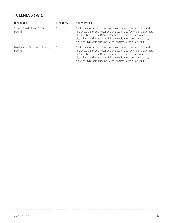# **FULLNESS Cont.**

| <b>REFERENCE</b>                           | <b>INTENSITY</b> | <b>PREPARATION</b>                                                                                                                                                                                                                                                                                                                              |
|--------------------------------------------|------------------|-------------------------------------------------------------------------------------------------------------------------------------------------------------------------------------------------------------------------------------------------------------------------------------------------------------------------------------------------|
| Folgers Classic Roast Coffee,<br>ground    | Flavor: 7.5      | Begin brewing 1 hour before test. Use 30 grams ground coffee and<br>48 ounces deionized water and an autodrip coffee maker that meets<br>SCAA Certified Home Brewer standards. Brew. Transfer coffee to<br>clean, insulated airpot (140°F) in the evaluation room. Put empty<br>4-ounce Styrofoam cups (with lids) on tray. Serve cup 2/3 full. |
| Gevalia Kaffe Traditional Roast,<br>ground | Flavor: 10.0     | Begin brewing 1 hour before test.Use 30 grams ground coffee and<br>48 ounces deionized water and an autodrip coffee maker that meets<br>SCAA Certified Home Brewer standards. Brew. Transfer coffee to<br>clean, insulated airpot (140°F) in the evaluation room. Put empty<br>4-ounce Styrofoam cups (with lids) on tray. Serve cup 2/3 full.  |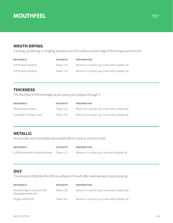# **MOUTHFEEL**



### **MOUTH DRYING**

A drying, puckering, or tingling sensation on the surface and/or edge of the tongue and mouth.

| <b>REFERENCE</b>    | <b>INTENSITY</b> | <b>PREPARATION</b>                                |
|---------------------|------------------|---------------------------------------------------|
| 0.05% alum solution | Flavor: 2.5      | Serve in a 1-ounce cup. Cover with a plastic lid. |
| 0.07% alum solution | Flavor: 3.5      | Serve in a 1-ounce cup. Cover with a plastic lid. |

#### **THICKNESS**

The thick feel of the beverage as you press your tongue through it.

| <b>REFERENCE</b>        | <b>INTENSITY</b> | PREPARATION                                       |
|-------------------------|------------------|---------------------------------------------------|
| 5% sucrose solution     | Flavor: 2.0      | Serve in a 1-ounce cup. Cover with a plastic lid. |
| Campbell's Tomato Juice | Flavor: 4.0      | Serve in a 1-ounce cup. Cover with a plastic lid. |

# **METALLIC**

An aromatic and mouthfeel associated with tin cans or aluminum foil.

| <b>REFERENCE</b>                              | <b>INTENSITY</b> | PREPARATION                                       |
|-----------------------------------------------|------------------|---------------------------------------------------|
| 0.10% potassium chloride solution Flavor: 1.5 |                  | Serve in a 1-ounce cup. Cover with a plastic lid. |

### **OILY**

The amount of fat/oily film left on surfaces of mouth after swallowing or expectorating.

| <b>REFERENCE</b>                                      | <b>INTENSITY</b> | <b>PREPARATION</b>                                |
|-------------------------------------------------------|------------------|---------------------------------------------------|
| Horizon Organic Low-Fat (1%)<br>ultrapasteurized milk | Flavor: 3.0      | Serve in a 1-ounce cup. Cover with a plastic lid. |
| Kroger Half & Half                                    | Flavor: 6.0      | Serve in a 1-ounce cup. Cover with a plastic lid. |